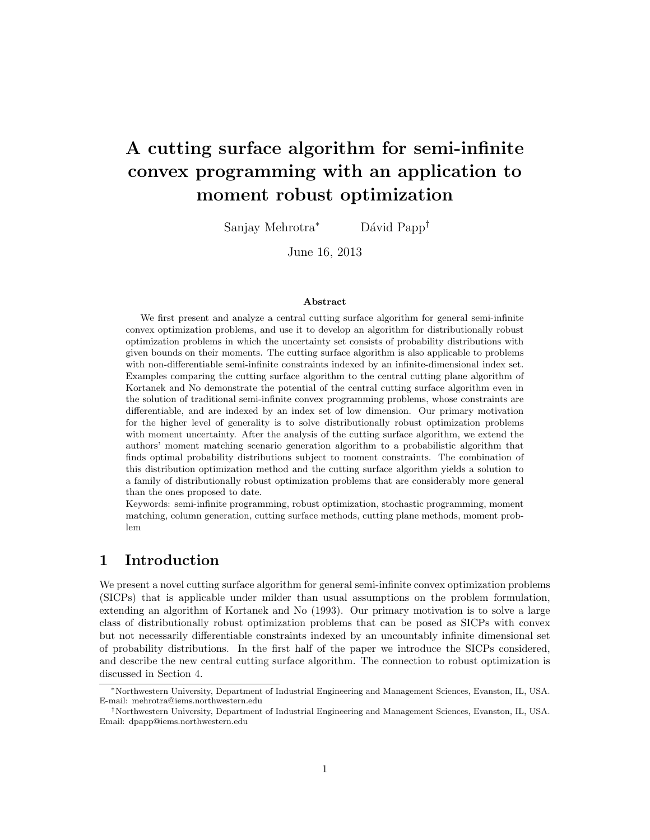# A cutting surface algorithm for semi-infinite convex programming with an application to moment robust optimization

Sanjay Mehrotra<sup>∗</sup> Dávid Papp<sup>†</sup>

June 16, 2013

#### Abstract

We first present and analyze a central cutting surface algorithm for general semi-infinite convex optimization problems, and use it to develop an algorithm for distributionally robust optimization problems in which the uncertainty set consists of probability distributions with given bounds on their moments. The cutting surface algorithm is also applicable to problems with non-differentiable semi-infinite constraints indexed by an infinite-dimensional index set. Examples comparing the cutting surface algorithm to the central cutting plane algorithm of Kortanek and No demonstrate the potential of the central cutting surface algorithm even in the solution of traditional semi-infinite convex programming problems, whose constraints are differentiable, and are indexed by an index set of low dimension. Our primary motivation for the higher level of generality is to solve distributionally robust optimization problems with moment uncertainty. After the analysis of the cutting surface algorithm, we extend the authors' moment matching scenario generation algorithm to a probabilistic algorithm that finds optimal probability distributions subject to moment constraints. The combination of this distribution optimization method and the cutting surface algorithm yields a solution to a family of distributionally robust optimization problems that are considerably more general than the ones proposed to date.

Keywords: semi-infinite programming, robust optimization, stochastic programming, moment matching, column generation, cutting surface methods, cutting plane methods, moment problem

### 1 Introduction

We present a novel cutting surface algorithm for general semi-infinite convex optimization problems (SICPs) that is applicable under milder than usual assumptions on the problem formulation, extending an algorithm of Kortanek and No (1993). Our primary motivation is to solve a large class of distributionally robust optimization problems that can be posed as SICPs with convex but not necessarily differentiable constraints indexed by an uncountably infinite dimensional set of probability distributions. In the first half of the paper we introduce the SICPs considered, and describe the new central cutting surface algorithm. The connection to robust optimization is discussed in Section 4.

<sup>∗</sup>Northwestern University, Department of Industrial Engineering and Management Sciences, Evanston, IL, USA. E-mail: mehrotra@iems.northwestern.edu

<sup>†</sup>Northwestern University, Department of Industrial Engineering and Management Sciences, Evanston, IL, USA. Email: dpapp@iems.northwestern.edu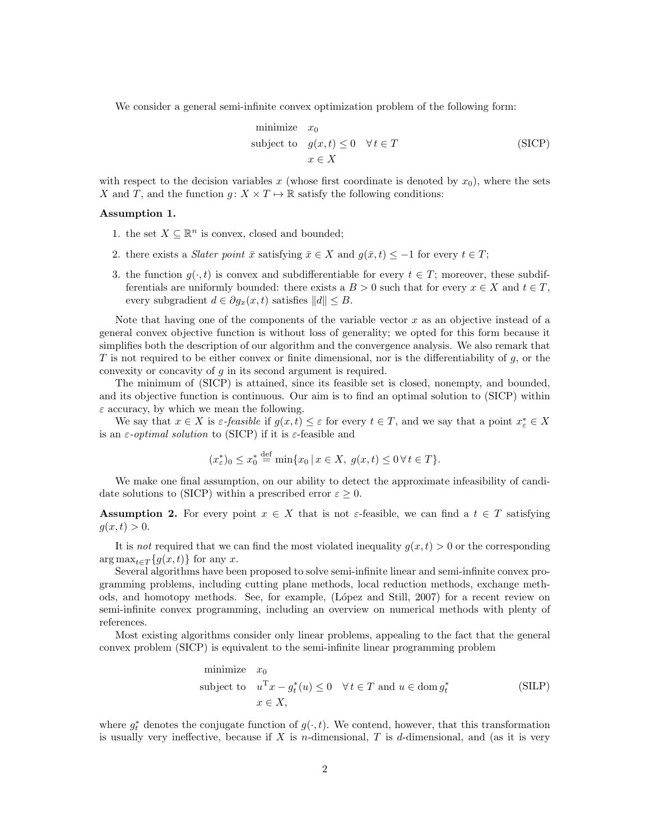We consider a general semi-infinite convex optimization problem of the following form:

minimize 
$$
x_0
$$
  
subject to  $g(x,t) \le 0 \quad \forall t \in T$   
 $x \in X$  (SICP)

with respect to the decision variables x (whose first coordinate is denoted by  $x_0$ ), where the sets X and T, and the function  $g: X \times T \mapsto \mathbb{R}$  satisfy the following conditions:

#### Assumption 1.

- 1. the set  $X \subseteq \mathbb{R}^n$  is convex, closed and bounded;
- 2. there exists a *Slater point*  $\bar{x}$  satisfying  $\bar{x} \in X$  and  $g(\bar{x}, t) \leq -1$  for every  $t \in T$ ;
- 3. the function  $g(\cdot, t)$  is convex and subdifferentiable for every  $t \in T$ ; moreover, these subdifferentials are uniformly bounded: there exists a  $B > 0$  such that for every  $x \in X$  and  $t \in T$ , every subgradient  $d \in \partial g_x(x, t)$  satisfies  $||d|| \leq B$ .

Note that having one of the components of the variable vector  $x$  as an objective instead of a general convex objective function is without loss of generality; we opted for this form because it simplifies both the description of our algorithm and the convergence analysis. We also remark that T is not required to be either convex or finite dimensional, nor is the differentiability of  $g$ , or the convexity or concavity of  $q$  in its second argument is required.

The minimum of (SICP) is attained, since its feasible set is closed, nonempty, and bounded, and its objective function is continuous. Our aim is to find an optimal solution to (SICP) within  $\varepsilon$  accuracy, by which we mean the following.

We say that  $x \in X$  is  $\varepsilon$ -feasible if  $g(x,t) \leq \varepsilon$  for every  $t \in T$ , and we say that a point  $x^*_{\varepsilon} \in X$ is an  $\varepsilon$ -*optimal solution* to (SICP) if it is  $\varepsilon$ -feasible and

$$
(x_{\varepsilon}^*)_0 \le x_0^* \stackrel{\text{def}}{=} \min\{x_0 \mid x \in X, \ g(x,t) \le 0 \,\forall \, t \in T\}.
$$

We make one final assumption, on our ability to detect the approximate infeasibility of candidate solutions to (SICP) within a prescribed error  $\varepsilon \geq 0$ .

**Assumption 2.** For every point  $x \in X$  that is not  $\varepsilon$ -feasible, we can find a  $t \in T$  satisfying  $g(x, t) > 0.$ 

It is not required that we can find the most violated inequality  $g(x, t) > 0$  or the corresponding  $\arg \max_{t \in \mathcal{T}} \{g(x, t)\}\$ for any x.

Several algorithms have been proposed to solve semi-infinite linear and semi-infinite convex programming problems, including cutting plane methods, local reduction methods, exchange methods, and homotopy methods. See, for example, (López and Still, 2007) for a recent review on semi-infinite convex programming, including an overview on numerical methods with plenty of references.

Most existing algorithms consider only linear problems, appealing to the fact that the general convex problem (SICP) is equivalent to the semi-infinite linear programming problem

minimize 
$$
x_0
$$
  
subject to  $u^{\mathrm{T}} x - g_t^*(u) \le 0 \quad \forall t \in T$  and  $u \in \text{dom } g_t^*$  (SLLP)  
 $x \in X$ ,

where  $g_t^*$  denotes the conjugate function of  $g(\cdot, t)$ . We contend, however, that this transformation is usually very ineffective, because if  $X$  is n-dimensional,  $T$  is d-dimensional, and (as it is very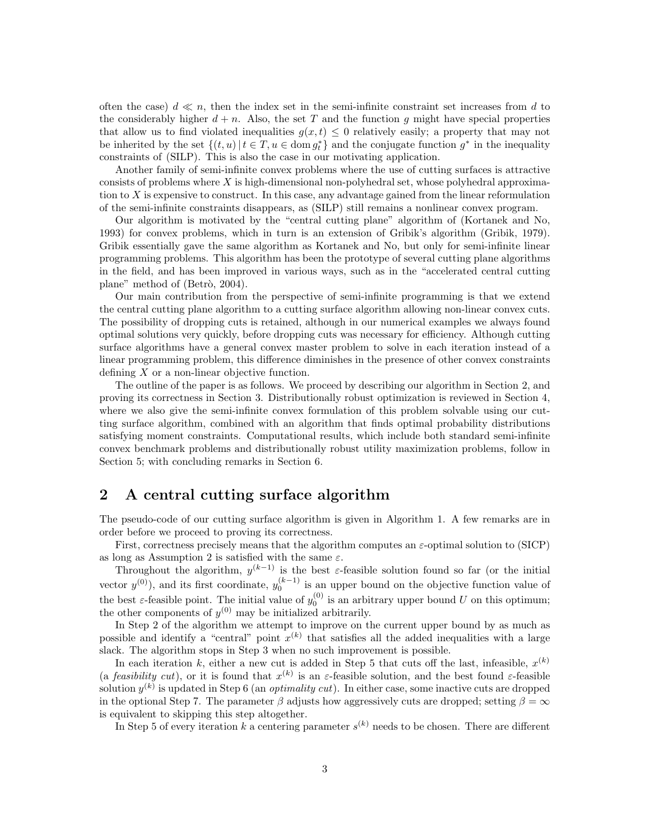often the case)  $d \ll n$ , then the index set in the semi-infinite constraint set increases from d to the considerably higher  $d + n$ . Also, the set T and the function g might have special properties that allow us to find violated inequalities  $g(x,t) \leq 0$  relatively easily; a property that may not be inherited by the set  $\{(t, u) | t \in T, u \in \text{dom } g_t^*\}$  and the conjugate function  $g^*$  in the inequality constraints of (SILP). This is also the case in our motivating application.

Another family of semi-infinite convex problems where the use of cutting surfaces is attractive consists of problems where X is high-dimensional non-polyhedral set, whose polyhedral approximation to X is expensive to construct. In this case, any advantage gained from the linear reformulation of the semi-infinite constraints disappears, as (SILP) still remains a nonlinear convex program.

Our algorithm is motivated by the "central cutting plane" algorithm of (Kortanek and No, 1993) for convex problems, which in turn is an extension of Gribik's algorithm (Gribik, 1979). Gribik essentially gave the same algorithm as Kortanek and No, but only for semi-infinite linear programming problems. This algorithm has been the prototype of several cutting plane algorithms in the field, and has been improved in various ways, such as in the "accelerated central cutting plane" method of (Betrò, 2004).

Our main contribution from the perspective of semi-infinite programming is that we extend the central cutting plane algorithm to a cutting surface algorithm allowing non-linear convex cuts. The possibility of dropping cuts is retained, although in our numerical examples we always found optimal solutions very quickly, before dropping cuts was necessary for efficiency. Although cutting surface algorithms have a general convex master problem to solve in each iteration instead of a linear programming problem, this difference diminishes in the presence of other convex constraints defining  $X$  or a non-linear objective function.

The outline of the paper is as follows. We proceed by describing our algorithm in Section 2, and proving its correctness in Section 3. Distributionally robust optimization is reviewed in Section 4, where we also give the semi-infinite convex formulation of this problem solvable using our cutting surface algorithm, combined with an algorithm that finds optimal probability distributions satisfying moment constraints. Computational results, which include both standard semi-infinite convex benchmark problems and distributionally robust utility maximization problems, follow in Section 5; with concluding remarks in Section 6.

### 2 A central cutting surface algorithm

The pseudo-code of our cutting surface algorithm is given in Algorithm 1. A few remarks are in order before we proceed to proving its correctness.

First, correctness precisely means that the algorithm computes an  $\varepsilon$ -optimal solution to (SICP) as long as Assumption 2 is satisfied with the same  $\varepsilon$ .

Throughout the algorithm,  $y^{(k-1)}$  is the best  $\varepsilon$ -feasible solution found so far (or the initial vector  $y^{(0)}$ ), and its first coordinate,  $y_0^{(k-1)}$  is an upper bound on the objective function value of the best  $\varepsilon$ -feasible point. The initial value of  $y_0^{(0)}$  is an arbitrary upper bound U on this optimum; the other components of  $y^{(0)}$  may be initialized arbitrarily.

In Step 2 of the algorithm we attempt to improve on the current upper bound by as much as possible and identify a "central" point  $x^{(k)}$  that satisfies all the added inequalities with a large slack. The algorithm stops in Step 3 when no such improvement is possible.

In each iteration k, either a new cut is added in Step 5 that cuts off the last, infeasible,  $x^{(k)}$ (a feasibility cut), or it is found that  $x^{(k)}$  is an  $\varepsilon$ -feasible solution, and the best found  $\varepsilon$ -feasible solution  $y^{(k)}$  is updated in Step 6 (an *optimality cut*). In either case, some inactive cuts are dropped in the optional Step 7. The parameter  $\beta$  adjusts how aggressively cuts are dropped; setting  $\beta = \infty$ is equivalent to skipping this step altogether.

In Step 5 of every iteration k a centering parameter  $s^{(k)}$  needs to be chosen. There are different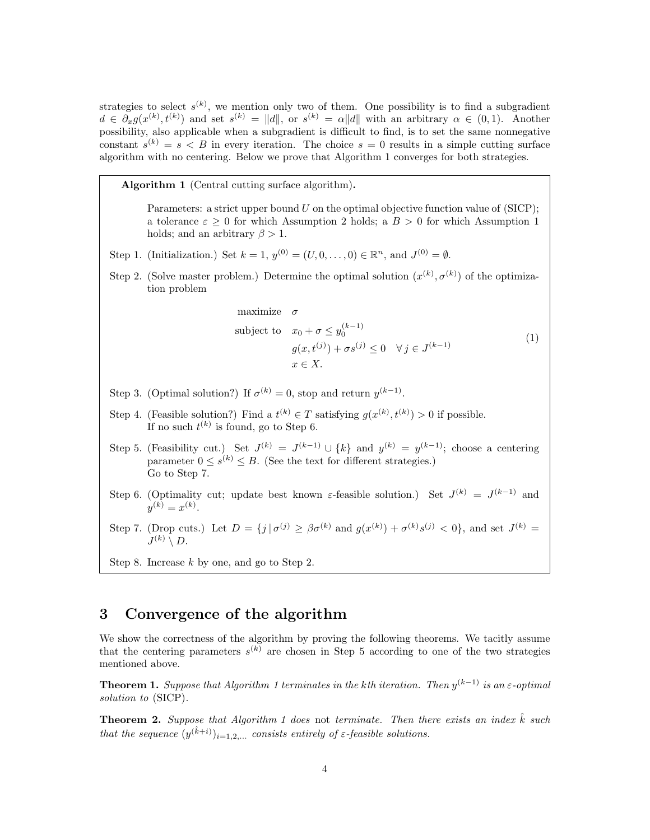strategies to select  $s^{(k)}$ , we mention only two of them. One possibility is to find a subgradient  $d \in \partial_x g(x^{(k)}, t^{(k)})$  and set  $s^{(k)} = ||d||$ , or  $s^{(k)} = \alpha ||d||$  with an arbitrary  $\alpha \in (0, 1)$ . Another possibility, also applicable when a subgradient is difficult to find, is to set the same nonnegative constant  $s^{(k)} = s < B$  in every iteration. The choice  $s = 0$  results in a simple cutting surface algorithm with no centering. Below we prove that Algorithm 1 converges for both strategies.

Algorithm 1 (Central cutting surface algorithm).

Parameters: a strict upper bound  $U$  on the optimal objective function value of (SICP); a tolerance  $\varepsilon > 0$  for which Assumption 2 holds; a  $B > 0$  for which Assumption 1 holds; and an arbitrary  $\beta > 1$ .

- Step 1. (Initialization.) Set  $k = 1, y^{(0)} = (U, 0, \dots, 0) \in \mathbb{R}^n$ , and  $J^{(0)} = \emptyset$ .
- Step 2. (Solve master problem.) Determine the optimal solution  $(x^{(k)}, \sigma^{(k)})$  of the optimization problem

maximize 
$$
\sigma
$$
  
\nsubject to  $x_0 + \sigma \le y_0^{(k-1)}$   
\n $g(x, t^{(j)}) + \sigma s^{(j)} \le 0 \quad \forall j \in J^{(k-1)}$   
\n $x \in X.$  (1)

- Step 3. (Optimal solution?) If  $\sigma^{(k)} = 0$ , stop and return  $y^{(k-1)}$ .
- Step 4. (Feasible solution?) Find a  $t^{(k)} \in T$  satisfying  $g(x^{(k)}, t^{(k)}) > 0$  if possible. If no such  $t^{(k)}$  is found, go to Step 6.
- Step 5. (Feasibility cut.) Set  $J^{(k)} = J^{(k-1)} \cup \{k\}$  and  $y^{(k)} = y^{(k-1)}$ ; choose a centering parameter  $0 \leq s^{(k)} \leq B$ . (See the text for different strategies.) Go to Step 7.
- Step 6. (Optimality cut; update best known  $\varepsilon$ -feasible solution.) Set  $J^{(k)} = J^{(k-1)}$  and  $y^{(k)} = x^{(k)}$ .
- Step 7. (Drop cuts.) Let  $D = \{j \mid \sigma^{(j)} \geq \beta \sigma^{(k)} \text{ and } g(x^{(k)}) + \sigma^{(k)} s^{(j)} < 0\}$ , and set  $J^{(k)} =$  $J^{(k)}\setminus D.$
- Step 8. Increase k by one, and go to Step 2.

## 3 Convergence of the algorithm

We show the correctness of the algorithm by proving the following theorems. We tacitly assume that the centering parameters  $s^{(k)}$  are chosen in Step 5 according to one of the two strategies mentioned above.

**Theorem 1.** Suppose that Algorithm 1 terminates in the kth iteration. Then  $y^{(k-1)}$  is an  $\varepsilon$ -optimal solution to (SICP).

**Theorem 2.** Suppose that Algorithm 1 does not terminate. Then there exists an index  $\hat{k}$  such that the sequence  $(y^{(\hat{k}+i)})_{i=1,2,...}$  consists entirely of  $\varepsilon$ -feasible solutions.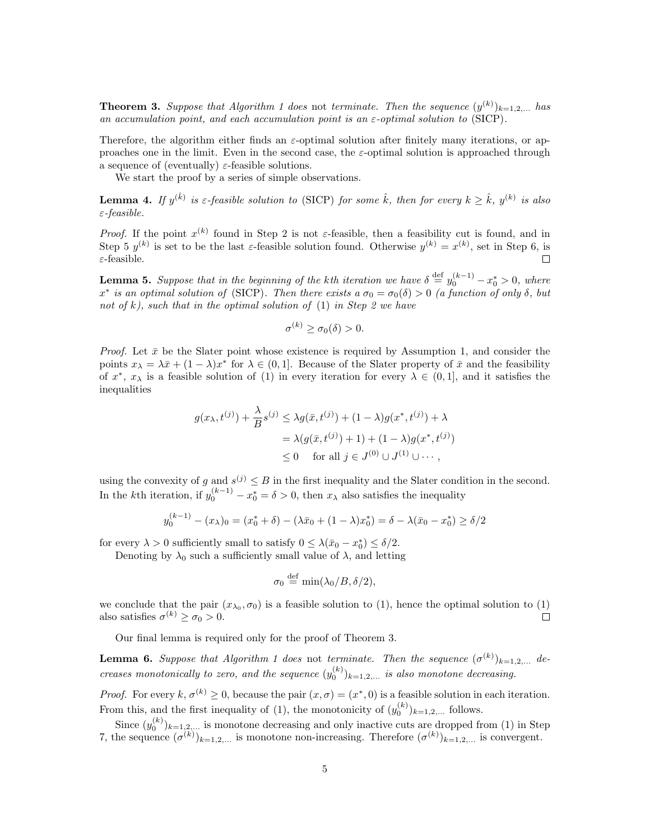**Theorem 3.** Suppose that Algorithm 1 does not terminate. Then the sequence  $(y^{(k)})_{k=1,2,...}$  has an accumulation point, and each accumulation point is an  $\varepsilon$ -optimal solution to (SICP).

Therefore, the algorithm either finds an  $\varepsilon$ -optimal solution after finitely many iterations, or approaches one in the limit. Even in the second case, the  $\varepsilon$ -optimal solution is approached through a sequence of (eventually)  $\varepsilon$ -feasible solutions.

We start the proof by a series of simple observations.

**Lemma 4.** If  $y^{(\hat{k})}$  is  $\varepsilon$ -feasible solution to (SICP) for some  $\hat{k}$ , then for every  $k \geq \hat{k}$ ,  $y^{(k)}$  is also ε-feasible.

*Proof.* If the point  $x^{(k)}$  found in Step 2 is not  $\varepsilon$ -feasible, then a feasibility cut is found, and in Step 5  $y^{(k)}$  is set to be the last  $\varepsilon$ -feasible solution found. Otherwise  $y^{(k)} = x^{(k)}$ , set in Step 6, is  $\varepsilon$ -feasible.  $\Box$ 

**Lemma 5.** Suppose that in the beginning of the kth iteration we have  $\delta \stackrel{\text{def}}{=} y_0^{(k-1)} - x_0^* > 0$ , where  $x^*$  is an optimal solution of (SICP). Then there exists a  $\sigma_0 = \sigma_0(\delta) > 0$  (a function of only  $\delta$ , but not of k), such that in the optimal solution of  $(1)$  in Step 2 we have

$$
\sigma^{(k)} \ge \sigma_0(\delta) > 0.
$$

*Proof.* Let  $\bar{x}$  be the Slater point whose existence is required by Assumption 1, and consider the points  $x_{\lambda} = \lambda \bar{x} + (1 - \lambda)x^*$  for  $\lambda \in (0, 1]$ . Because of the Slater property of  $\bar{x}$  and the feasibility of  $x^*$ ,  $x_{\lambda}$  is a feasible solution of (1) in every iteration for every  $\lambda \in (0,1]$ , and it satisfies the inequalities

$$
g(x_{\lambda}, t^{(j)}) + \frac{\lambda}{B} s^{(j)} \le \lambda g(\bar{x}, t^{(j)}) + (1 - \lambda)g(x^*, t^{(j)}) + \lambda
$$
  
=  $\lambda (g(\bar{x}, t^{(j)}) + 1) + (1 - \lambda)g(x^*, t^{(j)})$   
 $\le 0$  for all  $j \in J^{(0)} \cup J^{(1)} \cup \cdots$ ,

using the convexity of g and  $s^{(j)} \leq B$  in the first inequality and the Slater condition in the second. In the k<sup>th</sup> iteration, if  $y_0^{(k-1)} - x_0^* = \delta > 0$ , then  $x_\lambda$  also satisfies the inequality

$$
y_0^{(k-1)} - (x_\lambda)_0 = (x_0^* + \delta) - (\lambda \bar{x}_0 + (1 - \lambda)x_0^*) = \delta - \lambda(\bar{x}_0 - x_0^*) \ge \delta/2
$$

for every  $\lambda > 0$  sufficiently small to satisfy  $0 \leq \lambda(\bar{x}_0 - x_0^*) \leq \delta/2$ .

Denoting by  $\lambda_0$  such a sufficiently small value of  $\lambda$ , and letting

$$
\sigma_0 \stackrel{\text{def}}{=} \min(\lambda_0/B, \delta/2),
$$

we conclude that the pair  $(x_{\lambda_0}, \sigma_0)$  is a feasible solution to (1), hence the optimal solution to (1) also satisfies  $\sigma^{(k)} \ge \sigma_0 > 0$ .  $\Box$ 

Our final lemma is required only for the proof of Theorem 3.

**Lemma 6.** Suppose that Algorithm 1 does not terminate. Then the sequence  $(\sigma^{(k)})_{k=1,2,...}$  decreases monotonically to zero, and the sequence  $(y_0^{(k)})_{k=1,2,...}$  is also monotone decreasing.

*Proof.* For every  $k, \sigma^{(k)} \geq 0$ , because the pair  $(x, \sigma) = (x^*, 0)$  is a feasible solution in each iteration. From this, and the first inequality of (1), the monotonicity of  $(y_0^{(k)})_{k=1,2,...}$  follows.  $\overline{0}$ 

Since  $(y_0^{(k)})_{k=1,2,...}$  is monotone decreasing and only inactive cuts are dropped from (1) in Step 7, the sequence  $(\sigma^{(k)})_{k=1,2,...}$  is monotone non-increasing. Therefore  $(\sigma^{(k)})_{k=1,2,...}$  is convergent.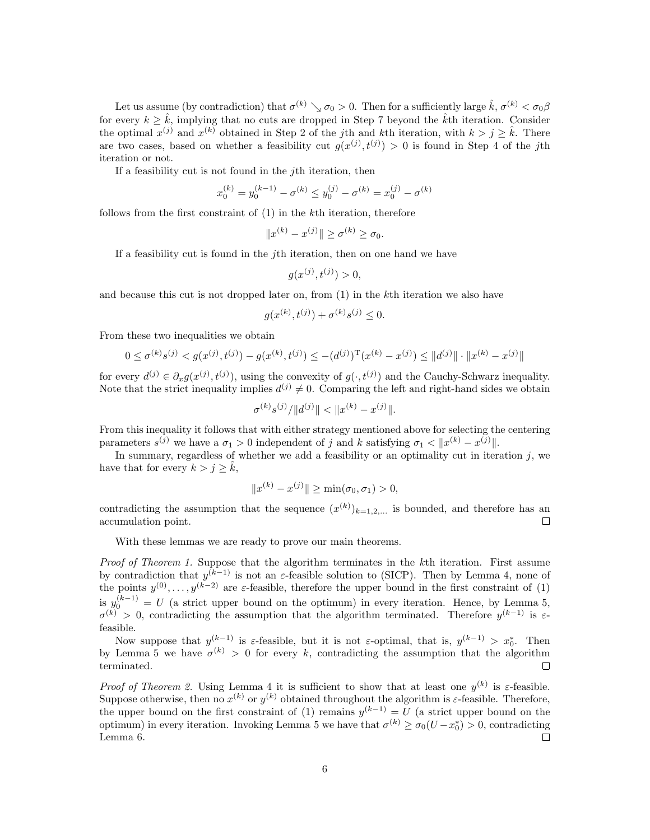Let us assume (by contradiction) that  $\sigma^{(k)} \searrow \sigma_0 > 0$ . Then for a sufficiently large  $\hat{k}, \sigma^{(k)} < \sigma_0 \beta$ for every  $k > \hat{k}$ , implying that no cuts are dropped in Step 7 beyond the  $\hat{k}$ th iteration. Consider the optimal  $x^{(j)}$  and  $x^{(k)}$  obtained in Step 2 of the jth and kth iteration, with  $k > j \geq \hat{k}$ . There are two cases, based on whether a feasibility cut  $g(x^{(j)}, t^{(j)}) > 0$  is found in Step 4 of the jth iteration or not.

If a feasibility cut is not found in the jth iteration, then

$$
x_0^{(k)} = y_0^{(k-1)} - \sigma^{(k)} \le y_0^{(j)} - \sigma^{(k)} = x_0^{(j)} - \sigma^{(k)}
$$

follows from the first constraint of (1) in the kth iteration, therefore

$$
||x^{(k)} - x^{(j)}|| \ge \sigma^{(k)} \ge \sigma_0.
$$

If a feasibility cut is found in the jth iteration, then on one hand we have

$$
g(x^{(j)}, t^{(j)}) > 0,
$$

and because this cut is not dropped later on, from (1) in the kth iteration we also have

$$
g(x^{(k)}, t^{(j)}) + \sigma^{(k)} s^{(j)} \le 0.
$$

From these two inequalities we obtain

$$
0 \le \sigma^{(k)} s^{(j)} < g(x^{(j)}, t^{(j)}) - g(x^{(k)}, t^{(j)}) \le -(d^{(j)})^{\mathrm{T}} (x^{(k)} - x^{(j)}) \le ||d^{(j)}|| \cdot ||x^{(k)} - x^{(j)}||
$$

for every  $d^{(j)} \in \partial_x g(x^{(j)}, t^{(j)})$ , using the convexity of  $g(\cdot, t^{(j)})$  and the Cauchy-Schwarz inequality. Note that the strict inequality implies  $d^{(j)} \neq 0$ . Comparing the left and right-hand sides we obtain

$$
\sigma^{(k)} s^{(j)}/\|d^{(j)}\| < \|x^{(k)} - x^{(j)}\|.
$$

From this inequality it follows that with either strategy mentioned above for selecting the centering parameters  $s^{(j)}$  we have a  $\sigma_1 > 0$  independent of j and k satisfying  $\sigma_1 < ||x^{(k)} - x^{(j)}||$ .

In summary, regardless of whether we add a feasibility or an optimality cut in iteration  $j$ , we have that for every  $k > j \geq k$ ,

$$
||x^{(k)} - x^{(j)}|| \ge \min(\sigma_0, \sigma_1) > 0,
$$

contradicting the assumption that the sequence  $(x^{(k)})_{k=1,2,...}$  is bounded, and therefore has an accumulation point.  $\Box$ 

With these lemmas we are ready to prove our main theorems.

Proof of Theorem 1. Suppose that the algorithm terminates in the k<sup>th</sup> iteration. First assume by contradiction that  $y^{(k-1)}$  is not an  $\varepsilon$ -feasible solution to (SICP). Then by Lemma 4, none of the points  $y^{(0)}, \ldots, y^{(k-2)}$  are  $\varepsilon$ -feasible, therefore the upper bound in the first constraint of (1) is  $y_0^{(k-1)} = U$  (a strict upper bound on the optimum) in every iteration. Hence, by Lemma 5,  $\sigma^{(k)} > 0$ , contradicting the assumption that the algorithm terminated. Therefore  $y^{(k-1)}$  is  $\varepsilon$ feasible.

Now suppose that  $y^{(k-1)}$  is  $\varepsilon$ -feasible, but it is not  $\varepsilon$ -optimal, that is,  $y^{(k-1)} > x_0^*$ . Then by Lemma 5 we have  $\sigma^{(k)} > 0$  for every k, contradicting the assumption that the algorithm terminated.

*Proof of Theorem 2.* Using Lemma 4 it is sufficient to show that at least one  $y^{(k)}$  is  $\varepsilon$ -feasible. Suppose otherwise, then no  $x^{(k)}$  or  $y^{(k)}$  obtained throughout the algorithm is  $\varepsilon$ -feasible. Therefore, the upper bound on the first constraint of (1) remains  $y^{(k-1)} = U$  (a strict upper bound on the optimum) in every iteration. Invoking Lemma 5 we have that  $\sigma^{(k)} \ge \sigma_0(U - x_0^*) > 0$ , contradicting Lemma 6.  $\Box$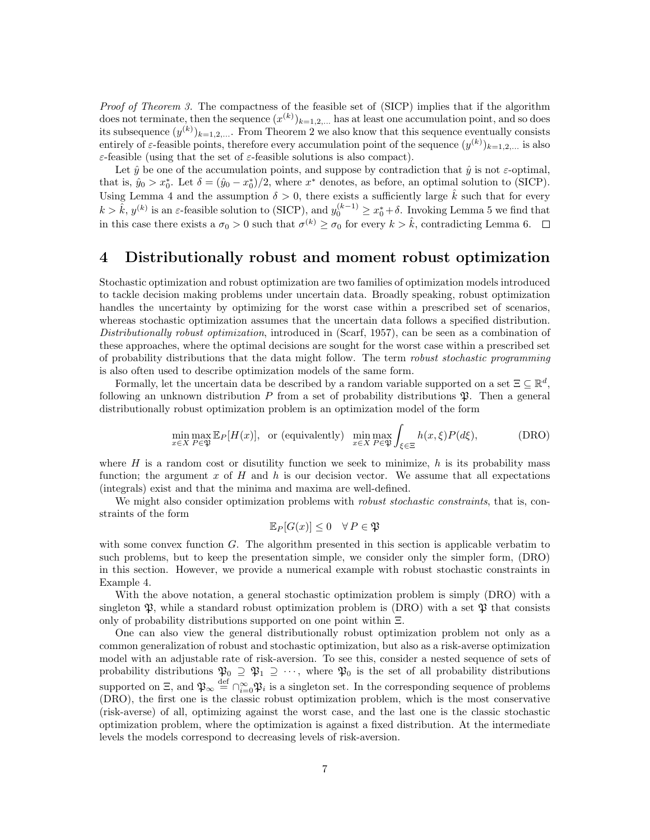Proof of Theorem 3. The compactness of the feasible set of (SICP) implies that if the algorithm does not terminate, then the sequence  $(x^{(k)})_{k=1,2,...}$  has at least one accumulation point, and so does its subsequence  $(y^{(k)})_{k=1,2,...}$ . From Theorem 2 we also know that this sequence eventually consists entirely of  $\varepsilon$ -feasible points, therefore every accumulation point of the sequence  $(y^{(k)})_{k=1,2,...}$  is also  $\varepsilon$ -feasible (using that the set of  $\varepsilon$ -feasible solutions is also compact).

Let  $\hat{y}$  be one of the accumulation points, and suppose by contradiction that  $\hat{y}$  is not  $\varepsilon$ -optimal, that is,  $\hat{y}_0 > x_0^*$ . Let  $\delta = (\hat{y}_0 - x_0^*)/2$ , where  $x^*$  denotes, as before, an optimal solution to (SICP). Using Lemma 4 and the assumption  $\delta > 0$ , there exists a sufficiently large  $\hat{k}$  such that for every  $k > \hat{k}$ ,  $y^{(k)}$  is an  $\varepsilon$ -feasible solution to (SICP), and  $y_0^{(k-1)} \ge x_0^* + \delta$ . Invoking Lemma 5 we find that in this case there exists a  $\sigma_0 > 0$  such that  $\sigma^{(k)} \ge \sigma_0$  for every  $k > \hat{k}$ , contradicting Lemma 6.

# 4 Distributionally robust and moment robust optimization

Stochastic optimization and robust optimization are two families of optimization models introduced to tackle decision making problems under uncertain data. Broadly speaking, robust optimization handles the uncertainty by optimizing for the worst case within a prescribed set of scenarios, whereas stochastic optimization assumes that the uncertain data follows a specified distribution. Distributionally robust optimization, introduced in (Scarf, 1957), can be seen as a combination of these approaches, where the optimal decisions are sought for the worst case within a prescribed set of probability distributions that the data might follow. The term robust stochastic programming is also often used to describe optimization models of the same form.

Formally, let the uncertain data be described by a random variable supported on a set  $\Xi \subseteq \mathbb{R}^d$ , following an unknown distribution  $P$  from a set of probability distributions  $\mathfrak{P}$ . Then a general distributionally robust optimization problem is an optimization model of the form

$$
\min_{x \in X} \max_{P \in \mathfrak{P}} \mathbb{E}_P[H(x)], \text{ or (equivalently)} \min_{x \in X} \max_{P \in \mathfrak{P}} \int_{\xi \in \Xi} h(x, \xi) P(d\xi), \tag{DRO}
$$

where H is a random cost or disutility function we seek to minimize,  $h$  is its probability mass function; the argument x of H and h is our decision vector. We assume that all expectations (integrals) exist and that the minima and maxima are well-defined.

We might also consider optimization problems with *robust stochastic constraints*, that is, constraints of the form

$$
\mathbb{E}_P[G(x)] \le 0 \quad \forall P \in \mathfrak{P}
$$

with some convex function  $G$ . The algorithm presented in this section is applicable verbatim to such problems, but to keep the presentation simple, we consider only the simpler form, (DRO) in this section. However, we provide a numerical example with robust stochastic constraints in Example 4.

With the above notation, a general stochastic optimization problem is simply (DRO) with a singleton  $\mathfrak{P}$ , while a standard robust optimization problem is (DRO) with a set  $\mathfrak{P}$  that consists only of probability distributions supported on one point within Ξ.

One can also view the general distributionally robust optimization problem not only as a common generalization of robust and stochastic optimization, but also as a risk-averse optimization model with an adjustable rate of risk-aversion. To see this, consider a nested sequence of sets of probability distributions  $\mathfrak{P}_0 \supseteq \mathfrak{P}_1 \supseteq \cdots$ , where  $\mathfrak{P}_0$  is the set of all probability distributions supported on  $\Xi$ , and  $\mathfrak{P}_{\infty} \stackrel{\text{def}}{=} \bigcap_{i=0}^{\infty} \mathfrak{P}_i$  is a singleton set. In the corresponding sequence of problems (DRO), the first one is the classic robust optimization problem, which is the most conservative (risk-averse) of all, optimizing against the worst case, and the last one is the classic stochastic optimization problem, where the optimization is against a fixed distribution. At the intermediate levels the models correspond to decreasing levels of risk-aversion.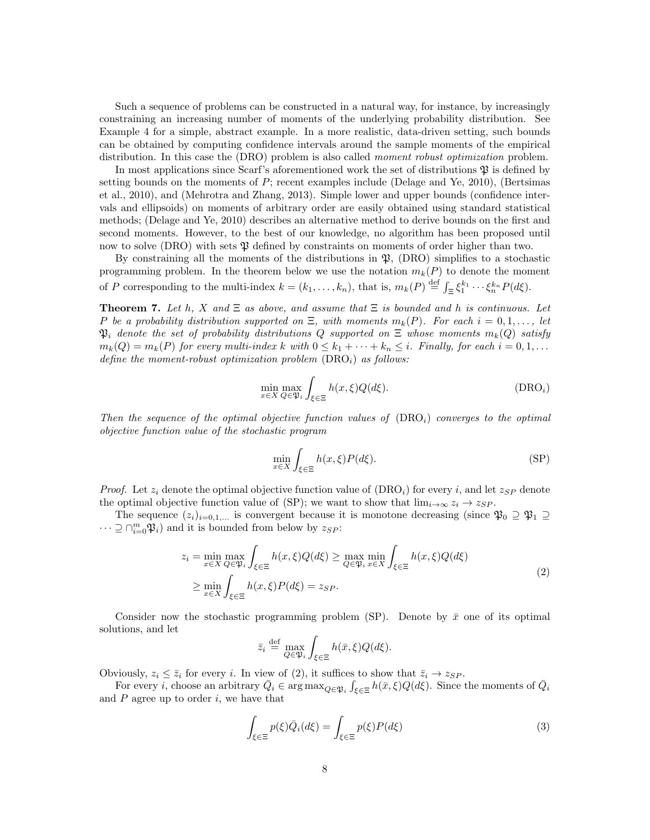Such a sequence of problems can be constructed in a natural way, for instance, by increasingly constraining an increasing number of moments of the underlying probability distribution. See Example 4 for a simple, abstract example. In a more realistic, data-driven setting, such bounds can be obtained by computing confidence intervals around the sample moments of the empirical distribution. In this case the (DRO) problem is also called *moment robust optimization* problem.

In most applications since Scarf's aforementioned work the set of distributions  $\mathfrak P$  is defined by setting bounds on the moments of  $P$ ; recent examples include (Delage and Ye, 2010), (Bertsimas et al., 2010), and (Mehrotra and Zhang, 2013). Simple lower and upper bounds (confidence intervals and ellipsoids) on moments of arbitrary order are easily obtained using standard statistical methods; (Delage and Ye, 2010) describes an alternative method to derive bounds on the first and second moments. However, to the best of our knowledge, no algorithm has been proposed until now to solve (DRO) with sets  $\mathfrak P$  defined by constraints on moments of order higher than two.

By constraining all the moments of the distributions in  $\mathfrak{P}$ , (DRO) simplifies to a stochastic programming problem. In the theorem below we use the notation  $m_k(P)$  to denote the moment of P corresponding to the multi-index  $k = (k_1, \ldots, k_n)$ , that is,  $m_k(P) \stackrel{\text{def}}{=} \int_{\Xi} \xi_1^{k_1} \cdots \xi_n^{k_n} P(d\xi)$ .

**Theorem 7.** Let h, X and  $\Xi$  as above, and assume that  $\Xi$  is bounded and h is continuous. Let P be a probability distribution supported on  $\Xi$ , with moments  $m_k(P)$ . For each  $i = 0, 1, \ldots$ , let  $\mathfrak{P}_i$  denote the set of probability distributions Q supported on  $\Xi$  whose moments  $m_k(Q)$  satisfy  $m_k(Q) = m_k(P)$  for every multi-index k with  $0 \leq k_1 + \cdots + k_n \leq i$ . Finally, for each  $i = 0, 1, \ldots$ define the moment-robust optimization problem  $(DRO<sub>i</sub>)$  as follows:

$$
\min_{x \in X} \max_{Q \in \mathfrak{P}_i} \int_{\xi \in \Xi} h(x, \xi) Q(d\xi). \tag{DRO_i}
$$

Then the sequence of the optimal objective function values of  $(DRO<sub>i</sub>)$  converges to the optimal objective function value of the stochastic program

$$
\min_{x \in X} \int_{\xi \in \Xi} h(x,\xi) P(d\xi). \tag{SP}
$$

*Proof.* Let  $z_i$  denote the optimal objective function value of  $(DRO_i)$  for every i, and let  $z_{SP}$  denote the optimal objective function value of (SP); we want to show that  $\lim_{i\to\infty} z_i \to z_{SP}$ .

The sequence  $(z_i)_{i=0,1,...}$  is convergent because it is monotone decreasing (since  $\mathfrak{P}_0 \supseteq \mathfrak{P}_1 \supseteq$  $\cdots \supseteq \bigcap_{i=0}^{m} \mathfrak{P}_i$  and it is bounded from below by  $z_{SP}$ :

$$
z_i = \min_{x \in X} \max_{Q \in \mathfrak{P}_i} \int_{\xi \in \Xi} h(x, \xi) Q(d\xi) \ge \max_{Q \in \mathfrak{P}_i} \min_{x \in X} \int_{\xi \in \Xi} h(x, \xi) Q(d\xi)
$$
  
 
$$
\ge \min_{x \in X} \int_{\xi \in \Xi} h(x, \xi) P(d\xi) = z_{SP}.
$$
 (2)

Consider now the stochastic programming problem (SP). Denote by  $\bar{x}$  one of its optimal solutions, and let

$$
\bar{z}_i \stackrel{\text{def}}{=} \max_{Q \in \mathfrak{P}_i} \int_{\xi \in \Xi} h(\bar{x}, \xi) Q(d\xi).
$$

Obviously,  $z_i \leq \bar{z}_i$  for every i. In view of (2), it suffices to show that  $\bar{z}_i \rightarrow z_{SP}$ .

For every *i*, choose an arbitrary  $\overline{Q}_i \in \arg \max_{Q \in \mathfrak{P}_i} \int_{\xi \in \Xi} h(\overline{x}, \xi) Q(d\xi)$ . Since the moments of  $\overline{Q}_i$ and  $P$  agree up to order  $i$ , we have that

$$
\int_{\xi \in \Xi} p(\xi) \bar{Q}_i(d\xi) = \int_{\xi \in \Xi} p(\xi) P(d\xi)
$$
\n(3)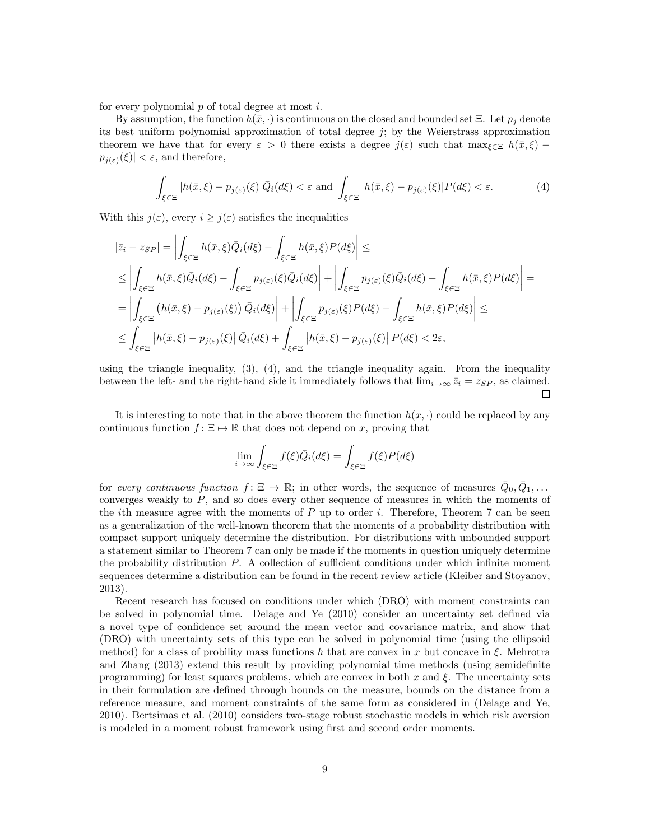for every polynomial  $p$  of total degree at most  $i$ .

By assumption, the function  $h(\bar{x},\cdot)$  is continuous on the closed and bounded set  $\Xi$ . Let  $p_i$  denote its best uniform polynomial approximation of total degree  $j$ ; by the Weierstrass approximation theorem we have that for every  $\varepsilon > 0$  there exists a degree  $j(\varepsilon)$  such that  $\max_{\xi \in \Xi} |h(\bar{x}, \xi)$  $p_{j(\varepsilon)}(\xi)| < \varepsilon$ , and therefore,

$$
\int_{\xi \in \Xi} |h(\bar{x}, \xi) - p_{j(\varepsilon)}(\xi)| \bar{Q}_i(d\xi) < \varepsilon \text{ and } \int_{\xi \in \Xi} |h(\bar{x}, \xi) - p_{j(\varepsilon)}(\xi)| P(d\xi) < \varepsilon. \tag{4}
$$

With this  $j(\varepsilon)$ , every  $i \geq j(\varepsilon)$  satisfies the inequalities

$$
\begin{split}\n|\bar{z}_{i} - z_{SP}| &= \left| \int_{\xi \in \Xi} h(\bar{x}, \xi) \bar{Q}_{i}(d\xi) - \int_{\xi \in \Xi} h(\bar{x}, \xi) P(d\xi) \right| \leq \\
&\leq \left| \int_{\xi \in \Xi} h(\bar{x}, \xi) \bar{Q}_{i}(d\xi) - \int_{\xi \in \Xi} p_{j(\varepsilon)}(\xi) \bar{Q}_{i}(d\xi) \right| + \left| \int_{\xi \in \Xi} p_{j(\varepsilon)}(\xi) \bar{Q}_{i}(d\xi) - \int_{\xi \in \Xi} h(\bar{x}, \xi) P(d\xi) \right| = \\
&= \left| \int_{\xi \in \Xi} \left( h(\bar{x}, \xi) - p_{j(\varepsilon)}(\xi) \right) \bar{Q}_{i}(d\xi) \right| + \left| \int_{\xi \in \Xi} p_{j(\varepsilon)}(\xi) P(d\xi) - \int_{\xi \in \Xi} h(\bar{x}, \xi) P(d\xi) \right| \leq \\
&\leq \int_{\xi \in \Xi} \left| h(\bar{x}, \xi) - p_{j(\varepsilon)}(\xi) \right| \bar{Q}_{i}(d\xi) + \int_{\xi \in \Xi} \left| h(\bar{x}, \xi) - p_{j(\varepsilon)}(\xi) \right| P(d\xi) < 2\varepsilon,\n\end{split}
$$

using the triangle inequality,  $(3)$ ,  $(4)$ , and the triangle inequality again. From the inequality between the left- and the right-hand side it immediately follows that  $\lim_{i\to\infty} \bar{z}_i = z_{SP}$ , as claimed. Г

It is interesting to note that in the above theorem the function  $h(x, \cdot)$  could be replaced by any continuous function  $f: \Xi \mapsto \mathbb{R}$  that does not depend on x, proving that

$$
\lim_{i \to \infty} \int_{\xi \in \Xi} f(\xi) \overline{Q}_i(d\xi) = \int_{\xi \in \Xi} f(\xi) P(d\xi)
$$

for every continuous function  $f: \Xi \mapsto \mathbb{R}$ ; in other words, the sequence of measures  $\bar{Q}_0, \bar{Q}_1, \ldots$ converges weakly to  $P$ , and so does every other sequence of measures in which the moments of the *i*th measure agree with the moments of  $P$  up to order *i*. Therefore, Theorem 7 can be seen as a generalization of the well-known theorem that the moments of a probability distribution with compact support uniquely determine the distribution. For distributions with unbounded support a statement similar to Theorem 7 can only be made if the moments in question uniquely determine the probability distribution P. A collection of sufficient conditions under which infinite moment sequences determine a distribution can be found in the recent review article (Kleiber and Stoyanov, 2013).

Recent research has focused on conditions under which (DRO) with moment constraints can be solved in polynomial time. Delage and Ye (2010) consider an uncertainty set defined via a novel type of confidence set around the mean vector and covariance matrix, and show that (DRO) with uncertainty sets of this type can be solved in polynomial time (using the ellipsoid method) for a class of probility mass functions h that are convex in x but concave in  $\xi$ . Mehrotra and Zhang (2013) extend this result by providing polynomial time methods (using semidefinite programming) for least squares problems, which are convex in both x and  $\xi$ . The uncertainty sets in their formulation are defined through bounds on the measure, bounds on the distance from a reference measure, and moment constraints of the same form as considered in (Delage and Ye, 2010). Bertsimas et al. (2010) considers two-stage robust stochastic models in which risk aversion is modeled in a moment robust framework using first and second order moments.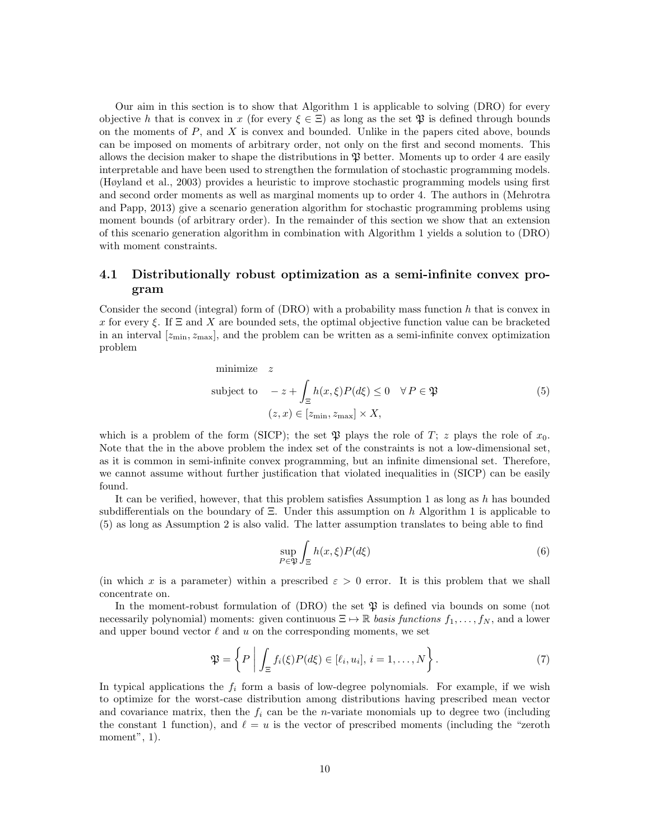Our aim in this section is to show that Algorithm 1 is applicable to solving (DRO) for every objective h that is convex in x (for every  $\xi \in \Xi$ ) as long as the set  $\mathfrak{P}$  is defined through bounds on the moments of  $P$ , and  $X$  is convex and bounded. Unlike in the papers cited above, bounds can be imposed on moments of arbitrary order, not only on the first and second moments. This allows the decision maker to shape the distributions in  $\mathfrak P$  better. Moments up to order 4 are easily interpretable and have been used to strengthen the formulation of stochastic programming models. (Høyland et al., 2003) provides a heuristic to improve stochastic programming models using first and second order moments as well as marginal moments up to order 4. The authors in (Mehrotra and Papp, 2013) give a scenario generation algorithm for stochastic programming problems using moment bounds (of arbitrary order). In the remainder of this section we show that an extension of this scenario generation algorithm in combination with Algorithm 1 yields a solution to (DRO) with moment constraints.

### 4.1 Distributionally robust optimization as a semi-infinite convex program

Consider the second (integral) form of  $(DRO)$  with a probability mass function h that is convex in x for every ξ. If  $\Xi$  and X are bounded sets, the optimal objective function value can be bracketed in an interval  $[z_{\min}, z_{\max}]$ , and the problem can be written as a semi-infinite convex optimization problem

minimize z  
\nsubject to 
$$
-z + \int_{\Xi} h(x,\xi)P(d\xi) \le 0 \quad \forall P \in \mathfrak{P}
$$
\n
$$
(z,x) \in [z_{\min}, z_{\max}] \times X,
$$
\n(5)

which is a problem of the form (SICP); the set  $\mathfrak P$  plays the role of  $T$ ; z plays the role of  $x_0$ . Note that the in the above problem the index set of the constraints is not a low-dimensional set, as it is common in semi-infinite convex programming, but an infinite dimensional set. Therefore, we cannot assume without further justification that violated inequalities in (SICP) can be easily found.

It can be verified, however, that this problem satisfies Assumption 1 as long as  $h$  has bounded subdifferentials on the boundary of  $\Xi$ . Under this assumption on h Algorithm 1 is applicable to (5) as long as Assumption 2 is also valid. The latter assumption translates to being able to find

$$
\sup_{P \in \mathfrak{P}} \int_{\Xi} h(x,\xi)P(d\xi) \tag{6}
$$

(in which x is a parameter) within a prescribed  $\varepsilon > 0$  error. It is this problem that we shall concentrate on.

In the moment-robust formulation of  $(DRO)$  the set  $\mathfrak P$  is defined via bounds on some (not necessarily polynomial) moments: given continuous  $\Xi \mapsto \mathbb{R}$  basis functions  $f_1, \ldots, f_N$ , and a lower and upper bound vector  $\ell$  and u on the corresponding moments, we set

$$
\mathfrak{P} = \left\{ P \mid \int_{\Xi} f_i(\xi) P(d\xi) \in [\ell_i, u_i], i = 1, \dots, N \right\}.
$$
\n(7)

In typical applications the  $f_i$  form a basis of low-degree polynomials. For example, if we wish to optimize for the worst-case distribution among distributions having prescribed mean vector and covariance matrix, then the  $f_i$  can be the *n*-variate monomials up to degree two (including the constant 1 function), and  $\ell = u$  is the vector of prescribed moments (including the "zeroth" moment", 1).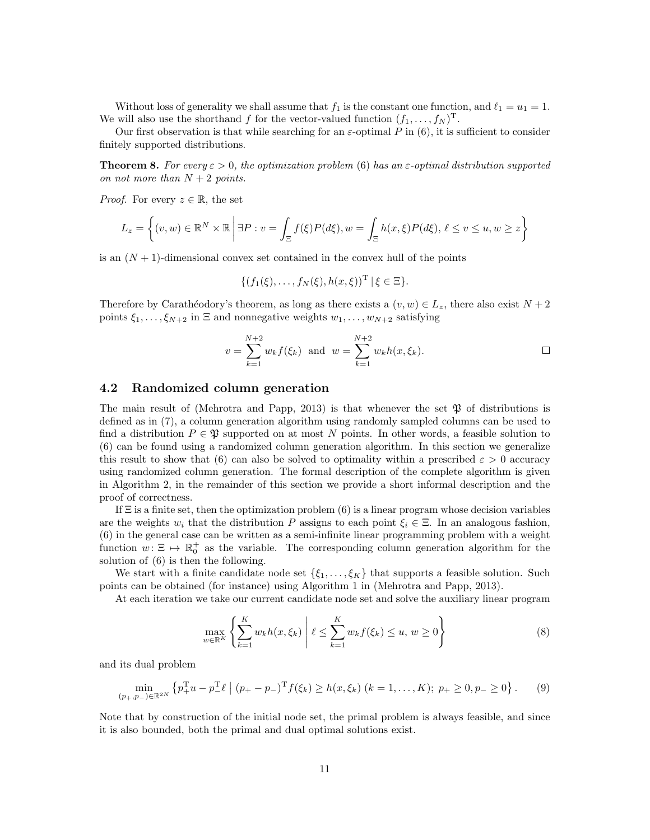Without loss of generality we shall assume that  $f_1$  is the constant one function, and  $\ell_1 = u_1 = 1$ . We will also use the shorthand f for the vector-valued function  $(f_1, \ldots, f_N)$ <sup>T</sup>.

Our first observation is that while searching for an  $\varepsilon$ -optimal P in (6), it is sufficient to consider finitely supported distributions.

**Theorem 8.** For every  $\varepsilon > 0$ , the optimization problem (6) has an  $\varepsilon$ -optimal distribution supported on not more than  $N+2$  points.

*Proof.* For every  $z \in \mathbb{R}$ , the set

$$
L_z = \left\{ (v, w) \in \mathbb{R}^N \times \mathbb{R} \, \middle| \, \exists P : v = \int_{\Xi} f(\xi) P(d\xi), w = \int_{\Xi} h(x, \xi) P(d\xi), \, \ell \le v \le u, w \ge z \right\}
$$

is an  $(N + 1)$ -dimensional convex set contained in the convex hull of the points

$$
\{(f_1(\xi),...,f_N(\xi),h(x,\xi))^T | \xi \in \Xi\}.
$$

Therefore by Carathéodory's theorem, as long as there exists a  $(v, w) \in L_z$ , there also exist  $N + 2$ points  $\xi_1, \ldots, \xi_{N+2}$  in  $\Xi$  and nonnegative weights  $w_1, \ldots, w_{N+2}$  satisfying

$$
v = \sum_{k=1}^{N+2} w_k f(\xi_k)
$$
 and  $w = \sum_{k=1}^{N+2} w_k h(x, \xi_k)$ .

#### 4.2 Randomized column generation

The main result of (Mehrotra and Papp, 2013) is that whenever the set  $\mathfrak P$  of distributions is defined as in (7), a column generation algorithm using randomly sampled columns can be used to find a distribution  $P \in \mathfrak{P}$  supported on at most N points. In other words, a feasible solution to (6) can be found using a randomized column generation algorithm. In this section we generalize this result to show that (6) can also be solved to optimality within a prescribed  $\varepsilon > 0$  accuracy using randomized column generation. The formal description of the complete algorithm is given in Algorithm 2, in the remainder of this section we provide a short informal description and the proof of correctness.

If  $\Xi$  is a finite set, then the optimization problem (6) is a linear program whose decision variables are the weights  $w_i$  that the distribution P assigns to each point  $\xi_i \in \Xi$ . In an analogous fashion, (6) in the general case can be written as a semi-infinite linear programming problem with a weight function  $w: \Xi \mapsto \mathbb{R}_0^+$  as the variable. The corresponding column generation algorithm for the solution of (6) is then the following.

We start with a finite candidate node set  $\{\xi_1, \ldots, \xi_K\}$  that supports a feasible solution. Such points can be obtained (for instance) using Algorithm 1 in (Mehrotra and Papp, 2013).

At each iteration we take our current candidate node set and solve the auxiliary linear program

$$
\max_{w \in \mathbb{R}^K} \left\{ \sum_{k=1}^K w_k h(x, \xi_k) \middle| \ell \le \sum_{k=1}^K w_k f(\xi_k) \le u, w \ge 0 \right\}
$$
 (8)

and its dual problem

$$
\min_{(p_+,p_-)\in\mathbb{R}^{2N}} \left\{ p_+^{\mathrm{T}} u - p_-^{\mathrm{T}} \ell \mid (p_+ - p_-)^{\mathrm{T}} f(\xi_k) \ge h(x,\xi_k) \ (k = 1,\ldots,K); \ p_+ \ge 0, p_- \ge 0 \right\}. \tag{9}
$$

Note that by construction of the initial node set, the primal problem is always feasible, and since it is also bounded, both the primal and dual optimal solutions exist.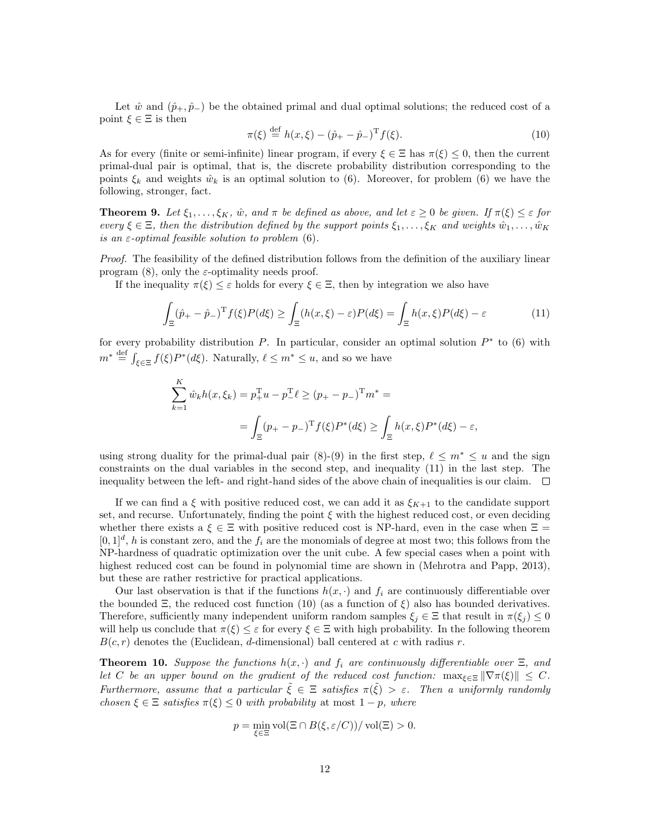Let  $\hat{w}$  and  $(\hat{p}_+,\hat{p}_-)$  be the obtained primal and dual optimal solutions; the reduced cost of a point  $\xi \in \Xi$  is then

$$
\pi(\xi) \stackrel{\text{def}}{=} h(x,\xi) - (\hat{p}_+ - \hat{p}_-)^{\text{T}} f(\xi). \tag{10}
$$

As for every (finite or semi-infinite) linear program, if every  $\xi \in \Xi$  has  $\pi(\xi) \leq 0$ , then the current primal-dual pair is optimal, that is, the discrete probability distribution corresponding to the points  $\xi_k$  and weights  $\hat{w}_k$  is an optimal solution to (6). Moreover, for problem (6) we have the following, stronger, fact.

**Theorem 9.** Let  $\xi_1, \ldots, \xi_K$ ,  $\hat{w}$ , and  $\pi$  be defined as above, and let  $\varepsilon \geq 0$  be given. If  $\pi(\xi) \leq \varepsilon$  for every  $\xi \in \Xi$ , then the distribution defined by the support points  $\xi_1, \ldots, \xi_K$  and weights  $\hat{w}_1, \ldots, \hat{w}_K$ is an  $\varepsilon$ -optimal feasible solution to problem (6).

Proof. The feasibility of the defined distribution follows from the definition of the auxiliary linear program  $(8)$ , only the *ε*-optimality needs proof.

If the inequality  $\pi(\xi) \leq \varepsilon$  holds for every  $\xi \in \Xi$ , then by integration we also have

$$
\int_{\Xi} (\hat{p}_+ - \hat{p}_-)^{\mathrm{T}} f(\xi) P(d\xi) \ge \int_{\Xi} (h(x,\xi) - \varepsilon) P(d\xi) = \int_{\Xi} h(x,\xi) P(d\xi) - \varepsilon \tag{11}
$$

for every probability distribution  $P$ . In particular, consider an optimal solution  $P^*$  to (6) with  $m^* \stackrel{\text{def}}{=} \int_{\xi \in \Xi} f(\xi) P^*(d\xi)$ . Naturally,  $\ell \leq m^* \leq u$ , and so we have

$$
\sum_{k=1}^{K} \hat{w}_k h(x, \xi_k) = p_+^{\mathrm{T}} u - p_-^{\mathrm{T}} \ell \ge (p_+ - p_-)^{\mathrm{T}} m^* =
$$
  
= 
$$
\int_{\Xi} (p_+ - p_-)^{\mathrm{T}} f(\xi) P^*(d\xi) \ge \int_{\Xi} h(x, \xi) P^*(d\xi) - \varepsilon,
$$

using strong duality for the primal-dual pair (8)-(9) in the first step,  $\ell \leq m^* \leq u$  and the sign constraints on the dual variables in the second step, and inequality (11) in the last step. The inequality between the left- and right-hand sides of the above chain of inequalities is our claim.  $\square$ 

If we can find a  $\xi$  with positive reduced cost, we can add it as  $\xi_{K+1}$  to the candidate support set, and recurse. Unfortunately, finding the point  $\xi$  with the highest reduced cost, or even deciding whether there exists a  $\xi \in \Xi$  with positive reduced cost is NP-hard, even in the case when  $\Xi$  =  $[0, 1]^d$ , h is constant zero, and the  $f_i$  are the monomials of degree at most two; this follows from the NP-hardness of quadratic optimization over the unit cube. A few special cases when a point with highest reduced cost can be found in polynomial time are shown in (Mehrotra and Papp, 2013), but these are rather restrictive for practical applications.

Our last observation is that if the functions  $h(x, \cdot)$  and  $f_i$  are continuously differentiable over the bounded  $\Xi$ , the reduced cost function (10) (as a function of  $\xi$ ) also has bounded derivatives. Therefore, sufficiently many independent uniform random samples  $\xi_j \in \Xi$  that result in  $\pi(\xi_j) \leq 0$ will help us conclude that  $\pi(\xi) \leq \varepsilon$  for every  $\xi \in \Xi$  with high probability. In the following theorem  $B(c, r)$  denotes the (Euclidean, d-dimensional) ball centered at c with radius r.

**Theorem 10.** Suppose the functions  $h(x, \cdot)$  and  $f_i$  are continuously differentiable over  $\Xi$ , and let C be an upper bound on the gradient of the reduced cost function:  $\max_{\xi \in \Xi} \|\nabla \pi(\xi)\| \leq C$ . Furthermore, assume that a particular  $\tilde{\xi} \in \Xi$  satisfies  $\pi(\tilde{\xi}) > \varepsilon$ . Then a uniformly randomly chosen  $\xi \in \Xi$  satisfies  $\pi(\xi) \leq 0$  with probability at most  $1 - p$ , where

$$
p = \min_{\xi \in \Xi} \text{vol}(\Xi \cap B(\xi, \varepsilon/C))/\text{vol}(\Xi) > 0.
$$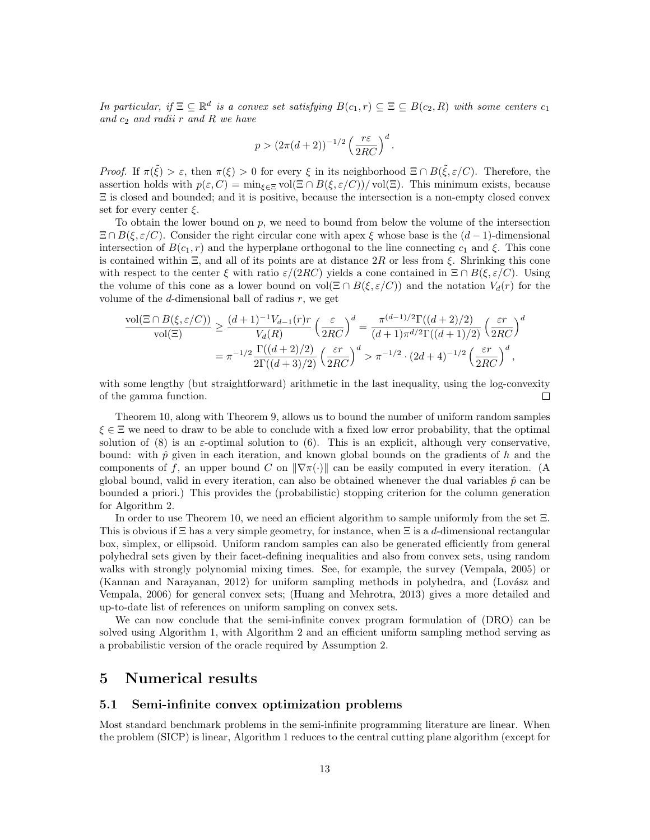In particular, if  $\Xi \subseteq \mathbb{R}^d$  is a convex set satisfying  $B(c_1,r) \subseteq \Xi \subseteq B(c_2,R)$  with some centers  $c_1$ and  $c_2$  and radii r and R we have

$$
p > (2\pi(d+2))^{-1/2} \left(\frac{r\varepsilon}{2RC}\right)^d
$$

.

Proof. If  $\pi(\tilde{\xi}) > \varepsilon$ , then  $\pi(\xi) > 0$  for every  $\xi$  in its neighborhood  $\Xi \cap B(\tilde{\xi}, \varepsilon/C)$ . Therefore, the assertion holds with  $p(\varepsilon, C) = \min_{\varepsilon \in \Xi} \text{vol}(\Xi \cap B(\xi, \varepsilon(C))/\text{vol}(\Xi)$ . This minimum exists, because Ξ is closed and bounded; and it is positive, because the intersection is a non-empty closed convex set for every center  $\xi$ .

To obtain the lower bound on p, we need to bound from below the volume of the intersection  $\Xi \cap B(\xi, \varepsilon/C)$ . Consider the right circular cone with apex  $\xi$  whose base is the  $(d-1)$ -dimensional intersection of  $B(c_1, r)$  and the hyperplane orthogonal to the line connecting  $c_1$  and  $\xi$ . This cone is contained within  $\Xi$ , and all of its points are at distance 2R or less from  $\xi$ . Shrinking this cone with respect to the center  $\xi$  with ratio  $\varepsilon/(2RC)$  yields a cone contained in  $\Xi \cap B(\xi, \varepsilon/C)$ . Using the volume of this cone as a lower bound on vol( $\Xi \cap B(\xi, \varepsilon/C)$ ) and the notation  $V_d(r)$  for the volume of the d-dimensional ball of radius  $r$ , we get

$$
\frac{\text{vol}(\Xi \cap B(\xi, \varepsilon/C))}{\text{vol}(\Xi)} \ge \frac{(d+1)^{-1}V_{d-1}(r)r}{V_d(R)} \left(\frac{\varepsilon}{2RC}\right)^d = \frac{\pi^{(d-1)/2}\Gamma((d+2)/2)}{(d+1)\pi^{d/2}\Gamma((d+1)/2)} \left(\frac{\varepsilon r}{2RC}\right)^d
$$

$$
= \pi^{-1/2} \frac{\Gamma((d+2)/2)}{2\Gamma((d+3)/2)} \left(\frac{\varepsilon r}{2RC}\right)^d > \pi^{-1/2} \cdot (2d+4)^{-1/2} \left(\frac{\varepsilon r}{2RC}\right)^d,
$$

with some lengthy (but straightforward) arithmetic in the last inequality, using the log-convexity of the gamma function.  $\Box$ 

Theorem 10, along with Theorem 9, allows us to bound the number of uniform random samples  $\xi \in \Xi$  we need to draw to be able to conclude with a fixed low error probability, that the optimal solution of (8) is an  $\varepsilon$ -optimal solution to (6). This is an explicit, although very conservative, bound: with  $\hat{p}$  given in each iteration, and known global bounds on the gradients of h and the components of f, an upper bound C on  $\|\nabla \pi(\cdot)\|$  can be easily computed in every iteration. (A global bound, valid in every iteration, can also be obtained whenever the dual variables  $\hat{p}$  can be bounded a priori.) This provides the (probabilistic) stopping criterion for the column generation for Algorithm 2.

In order to use Theorem 10, we need an efficient algorithm to sample uniformly from the set Ξ. This is obvious if  $\Xi$  has a very simple geometry, for instance, when  $\Xi$  is a d-dimensional rectangular box, simplex, or ellipsoid. Uniform random samples can also be generated efficiently from general polyhedral sets given by their facet-defining inequalities and also from convex sets, using random walks with strongly polynomial mixing times. See, for example, the survey (Vempala, 2005) or (Kannan and Narayanan, 2012) for uniform sampling methods in polyhedra, and (Lovász and Vempala, 2006) for general convex sets; (Huang and Mehrotra, 2013) gives a more detailed and up-to-date list of references on uniform sampling on convex sets.

We can now conclude that the semi-infinite convex program formulation of (DRO) can be solved using Algorithm 1, with Algorithm 2 and an efficient uniform sampling method serving as a probabilistic version of the oracle required by Assumption 2.

### 5 Numerical results

#### 5.1 Semi-infinite convex optimization problems

Most standard benchmark problems in the semi-infinite programming literature are linear. When the problem (SICP) is linear, Algorithm 1 reduces to the central cutting plane algorithm (except for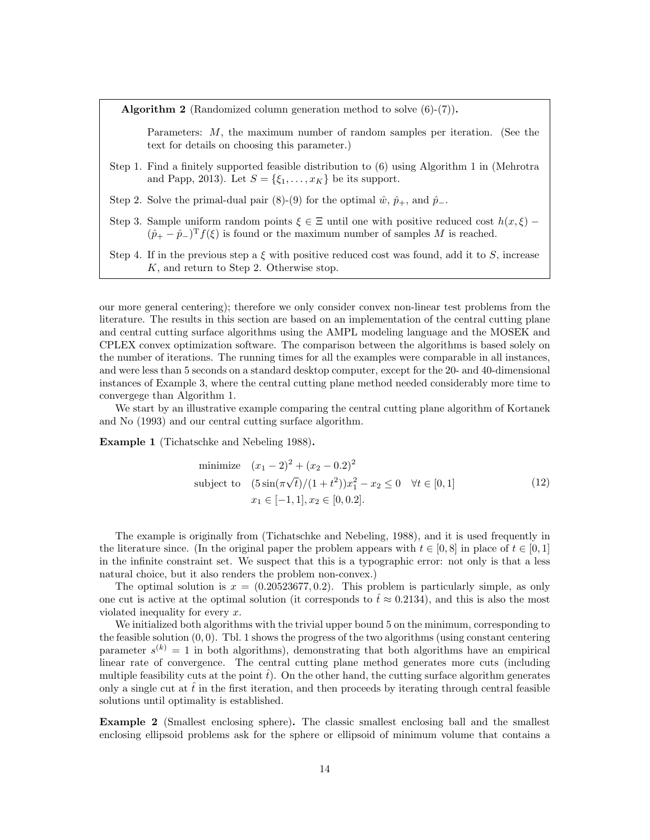**Algorithm 2** (Randomized column generation method to solve  $(6)-(7)$ ).

Parameters:  $M$ , the maximum number of random samples per iteration. (See the text for details on choosing this parameter.)

- Step 1. Find a finitely supported feasible distribution to (6) using Algorithm 1 in (Mehrotra and Papp, 2013). Let  $S = \{\xi_1, \ldots, \xi_K\}$  be its support.
- Step 2. Solve the primal-dual pair (8)-(9) for the optimal  $\hat{w}$ ,  $\hat{p}_+$ , and  $\hat{p}_-$ .
- Step 3. Sample uniform random points  $\xi \in \Xi$  until one with positive reduced cost  $h(x,\xi)$   $(\hat{p}_+ - \hat{p}_-)^T f(\xi)$  is found or the maximum number of samples M is reached.
- Step 4. If in the previous step a  $\xi$  with positive reduced cost was found, add it to S, increase K, and return to Step 2. Otherwise stop.

our more general centering); therefore we only consider convex non-linear test problems from the literature. The results in this section are based on an implementation of the central cutting plane and central cutting surface algorithms using the AMPL modeling language and the MOSEK and CPLEX convex optimization software. The comparison between the algorithms is based solely on the number of iterations. The running times for all the examples were comparable in all instances, and were less than 5 seconds on a standard desktop computer, except for the 20- and 40-dimensional instances of Example 3, where the central cutting plane method needed considerably more time to convergege than Algorithm 1.

We start by an illustrative example comparing the central cutting plane algorithm of Kortanek and No (1993) and our central cutting surface algorithm.

Example 1 (Tichatschke and Nebeling 1988).

minimize 
$$
(x_1 - 2)^2 + (x_2 - 0.2)^2
$$
  
\nsubject to  $(5\sin(\pi\sqrt{t})/(1+t^2))x_1^2 - x_2 \le 0 \quad \forall t \in [0,1]$   
\n $x_1 \in [-1,1], x_2 \in [0,0.2].$  (12)

The example is originally from (Tichatschke and Nebeling, 1988), and it is used frequently in the literature since. (In the original paper the problem appears with  $t \in [0,8]$  in place of  $t \in [0,1]$ in the infinite constraint set. We suspect that this is a typographic error: not only is that a less natural choice, but it also renders the problem non-convex.)

The optimal solution is  $x = (0.20523677, 0.2)$ . This problem is particularly simple, as only one cut is active at the optimal solution (it corresponds to  $\hat{t} \approx 0.2134$ ), and this is also the most violated inequality for every x.

We initialized both algorithms with the trivial upper bound 5 on the minimum, corresponding to the feasible solution  $(0, 0)$ . Tbl. 1 shows the progress of the two algorithms (using constant centering parameter  $s^{(k)} = 1$  in both algorithms), demonstrating that both algorithms have an empirical linear rate of convergence. The central cutting plane method generates more cuts (including multiple feasibility cuts at the point  $\hat{t}$ ). On the other hand, the cutting surface algorithm generates only a single cut at  $\hat{t}$  in the first iteration, and then proceeds by iterating through central feasible solutions until optimality is established.

Example 2 (Smallest enclosing sphere). The classic smallest enclosing ball and the smallest enclosing ellipsoid problems ask for the sphere or ellipsoid of minimum volume that contains a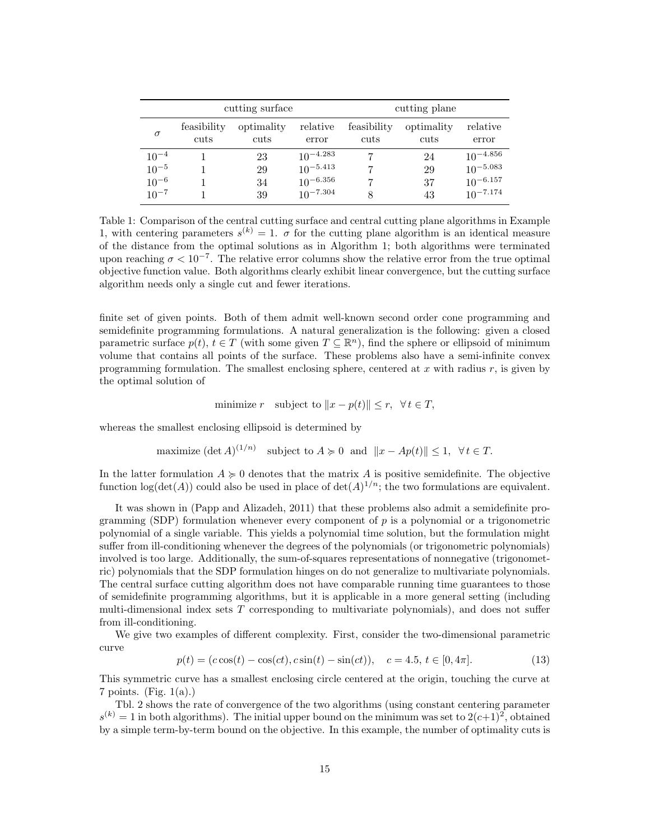|           |                     | cutting surface    |                   |                     | cutting plane<br>relative<br>optimality<br>cuts<br>error |               |  |
|-----------|---------------------|--------------------|-------------------|---------------------|----------------------------------------------------------|---------------|--|
| $\sigma$  | feasibility<br>cuts | optimality<br>cuts | relative<br>error | feasibility<br>cuts |                                                          |               |  |
| $10^{-4}$ |                     | 23                 | $10^{-4.283}$     |                     | 24                                                       | $10^{-4.856}$ |  |
| $10^{-5}$ |                     | 29                 | $10^{-5.413}$     |                     | 29                                                       | $10^{-5.083}$ |  |
| $10^{-6}$ |                     | 34                 | $10^{-6.356}$     |                     | 37                                                       | $10^{-6.157}$ |  |
| $10^{-7}$ |                     | 39                 | $10^{-7.304}$     |                     | 43                                                       | $10^{-7.174}$ |  |

Table 1: Comparison of the central cutting surface and central cutting plane algorithms in Example 1, with centering parameters  $s^{(k)} = 1$ .  $\sigma$  for the cutting plane algorithm is an identical measure of the distance from the optimal solutions as in Algorithm 1; both algorithms were terminated upon reaching  $\sigma < 10^{-7}$ . The relative error columns show the relative error from the true optimal objective function value. Both algorithms clearly exhibit linear convergence, but the cutting surface algorithm needs only a single cut and fewer iterations.

finite set of given points. Both of them admit well-known second order cone programming and semidefinite programming formulations. A natural generalization is the following: given a closed parametric surface  $p(t)$ ,  $t \in T$  (with some given  $T \subseteq \mathbb{R}^n$ ), find the sphere or ellipsoid of minimum volume that contains all points of the surface. These problems also have a semi-infinite convex programming formulation. The smallest enclosing sphere, centered at  $x$  with radius  $r$ , is given by the optimal solution of

minimize r subject to  $||x - p(t)|| \leq r$ ,  $\forall t \in T$ ,

whereas the smallest enclosing ellipsoid is determined by

maximize 
$$
(\det A)^{(1/n)}
$$
 subject to  $A \ge 0$  and  $||x - Ap(t)|| \le 1$ ,  $\forall t \in T$ .

In the latter formulation  $A \geq 0$  denotes that the matrix A is positive semidefinite. The objective function  $\log(\det(A))$  could also be used in place of  $\det(A)^{1/n}$ ; the two formulations are equivalent.

It was shown in (Papp and Alizadeh, 2011) that these problems also admit a semidefinite programming (SDP) formulation whenever every component of  $p$  is a polynomial or a trigonometric polynomial of a single variable. This yields a polynomial time solution, but the formulation might suffer from ill-conditioning whenever the degrees of the polynomials (or trigonometric polynomials) involved is too large. Additionally, the sum-of-squares representations of nonnegative (trigonometric) polynomials that the SDP formulation hinges on do not generalize to multivariate polynomials. The central surface cutting algorithm does not have comparable running time guarantees to those of semidefinite programming algorithms, but it is applicable in a more general setting (including multi-dimensional index sets  $T$  corresponding to multivariate polynomials), and does not suffer from ill-conditioning.

We give two examples of different complexity. First, consider the two-dimensional parametric curve

$$
p(t) = (c\cos(t) - \cos(ct), c\sin(t) - \sin(ct)), \quad c = 4.5, t \in [0, 4\pi].
$$
 (13)

This symmetric curve has a smallest enclosing circle centered at the origin, touching the curve at  $7 \text{ points.}$  (Fig. 1(a).)

Tbl. 2 shows the rate of convergence of the two algorithms (using constant centering parameter  $s^{(k)} = 1$  in both algorithms). The initial upper bound on the minimum was set to  $2(c+1)^2$ , obtained by a simple term-by-term bound on the objective. In this example, the number of optimality cuts is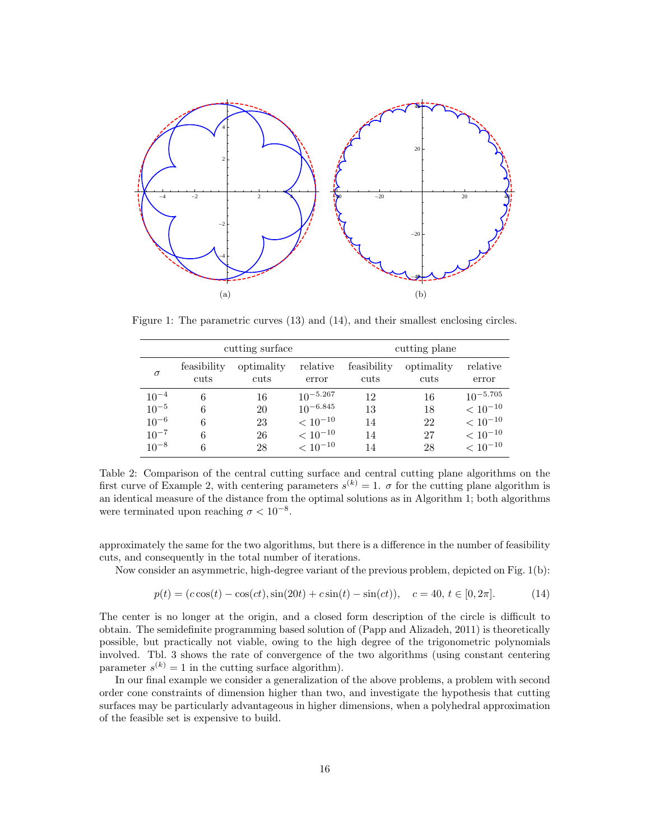

Figure 1: The parametric curves (13) and (14), and their smallest enclosing circles.

|           |                     | cutting surface    |                   | cutting plane       |                    |                   |  |
|-----------|---------------------|--------------------|-------------------|---------------------|--------------------|-------------------|--|
| $\sigma$  | feasibility<br>cuts | optimality<br>cuts | relative<br>error | feasibility<br>cuts | optimality<br>cuts | relative<br>error |  |
| $10^{-4}$ | 6                   | 16                 | $10^{-5.267}$     | 12                  | 16                 | $10^{-5.705}$     |  |
| $10^{-5}$ |                     | 20                 | $10^{-6.845}$     | 13                  | 18                 | $< 10^{-10}$      |  |
| $10^{-6}$ |                     | 23                 | $< 10^{-10}$      | 14                  | 22                 | $< 10^{-10}$      |  |
| $10^{-7}$ |                     | 26                 | $< 10^{-10}$      | 14                  | 27                 | $< 10^{-10}$      |  |
| $10^{-8}$ |                     | 28                 | $< 10^{-10}$      | 14                  | 28                 | $< 10^{-10}$      |  |

Table 2: Comparison of the central cutting surface and central cutting plane algorithms on the first curve of Example 2, with centering parameters  $s^{(k)} = 1$ .  $\sigma$  for the cutting plane algorithm is an identical measure of the distance from the optimal solutions as in Algorithm 1; both algorithms were terminated upon reaching  $\sigma < 10^{-8}$ .

approximately the same for the two algorithms, but there is a difference in the number of feasibility cuts, and consequently in the total number of iterations.

Now consider an asymmetric, high-degree variant of the previous problem, depicted on Fig. 1(b):

$$
p(t) = (c\cos(t) - \cos(ct), \sin(20t) + c\sin(t) - \sin(ct)), \quad c = 40, t \in [0, 2\pi].
$$
 (14)

The center is no longer at the origin, and a closed form description of the circle is difficult to obtain. The semidefinite programming based solution of (Papp and Alizadeh, 2011) is theoretically possible, but practically not viable, owing to the high degree of the trigonometric polynomials involved. Tbl. 3 shows the rate of convergence of the two algorithms (using constant centering parameter  $s^{(k)} = 1$  in the cutting surface algorithm).

In our final example we consider a generalization of the above problems, a problem with second order cone constraints of dimension higher than two, and investigate the hypothesis that cutting surfaces may be particularly advantageous in higher dimensions, when a polyhedral approximation of the feasible set is expensive to build.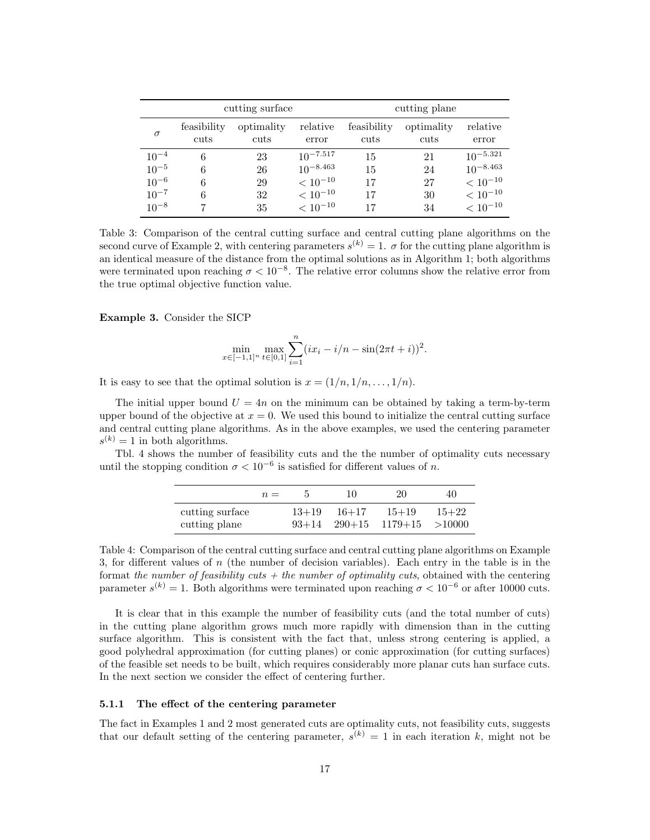|           |                     | cutting surface    |                   | cutting plane       |                    |                   |  |
|-----------|---------------------|--------------------|-------------------|---------------------|--------------------|-------------------|--|
| $\sigma$  | feasibility<br>cuts | optimality<br>cuts | relative<br>error | feasibility<br>cuts | optimality<br>cuts | relative<br>error |  |
| $10^{-4}$ | 6                   | 23                 | $10^{-7.517}$     | 15                  | 21                 | $10^{-5.321}$     |  |
| $10^{-5}$ | 6                   | 26                 | $10^{-8.463}$     | 15                  | 24                 | $10^{-8.463}$     |  |
| $10^{-6}$ | 6                   | 29                 | $< 10^{-10}$      | 17                  | 27                 | $< 10^{-10}$      |  |
| $10^{-7}$ | 6                   | 32                 | $< 10^{-10}$      | 17                  | 30                 | $< 10^{-10}$      |  |
| $10^{-8}$ |                     | 35                 | $< 10^{-10}$      |                     | 34                 | $< 10^{-10}$      |  |

Table 3: Comparison of the central cutting surface and central cutting plane algorithms on the second curve of Example 2, with centering parameters  $s^{(k)} = 1$ .  $\sigma$  for the cutting plane algorithm is an identical measure of the distance from the optimal solutions as in Algorithm 1; both algorithms were terminated upon reaching  $\sigma < 10^{-8}$ . The relative error columns show the relative error from the true optimal objective function value.

Example 3. Consider the SICP

$$
\min_{x \in [-1,1]^n} \max_{t \in [0,1]} \sum_{i=1}^n (ix_i - i/n - \sin(2\pi t + i))^2.
$$

It is easy to see that the optimal solution is  $x = (1/n, 1/n, \ldots, 1/n)$ .

The initial upper bound  $U = 4n$  on the minimum can be obtained by taking a term-by-term upper bound of the objective at  $x = 0$ . We used this bound to initialize the central cutting surface and central cutting plane algorithms. As in the above examples, we used the centering parameter  $s^{(k)} = 1$  in both algorithms.

Tbl. 4 shows the number of feasibility cuts and the the number of optimality cuts necessary until the stopping condition  $\sigma < 10^{-6}$  is satisfied for different values of n.

|                                  | $n =$ |         | 10        | 20                                      | 40                  |
|----------------------------------|-------|---------|-----------|-----------------------------------------|---------------------|
| cutting surface<br>cutting plane |       | $13+19$ | $16 + 17$ | $15 + 19$<br>$93+14$ $290+15$ $1179+15$ | $15 + 22$<br>>10000 |

Table 4: Comparison of the central cutting surface and central cutting plane algorithms on Example 3, for different values of  $n$  (the number of decision variables). Each entry in the table is in the format the number of feasibility cuts  $+$  the number of optimality cuts, obtained with the centering parameter  $s^{(k)} = 1$ . Both algorithms were terminated upon reaching  $\sigma < 10^{-6}$  or after 10000 cuts.

It is clear that in this example the number of feasibility cuts (and the total number of cuts) in the cutting plane algorithm grows much more rapidly with dimension than in the cutting surface algorithm. This is consistent with the fact that, unless strong centering is applied, a good polyhedral approximation (for cutting planes) or conic approximation (for cutting surfaces) of the feasible set needs to be built, which requires considerably more planar cuts han surface cuts. In the next section we consider the effect of centering further.

#### 5.1.1 The effect of the centering parameter

The fact in Examples 1 and 2 most generated cuts are optimality cuts, not feasibility cuts, suggests that our default setting of the centering parameter,  $s^{(k)} = 1$  in each iteration k, might not be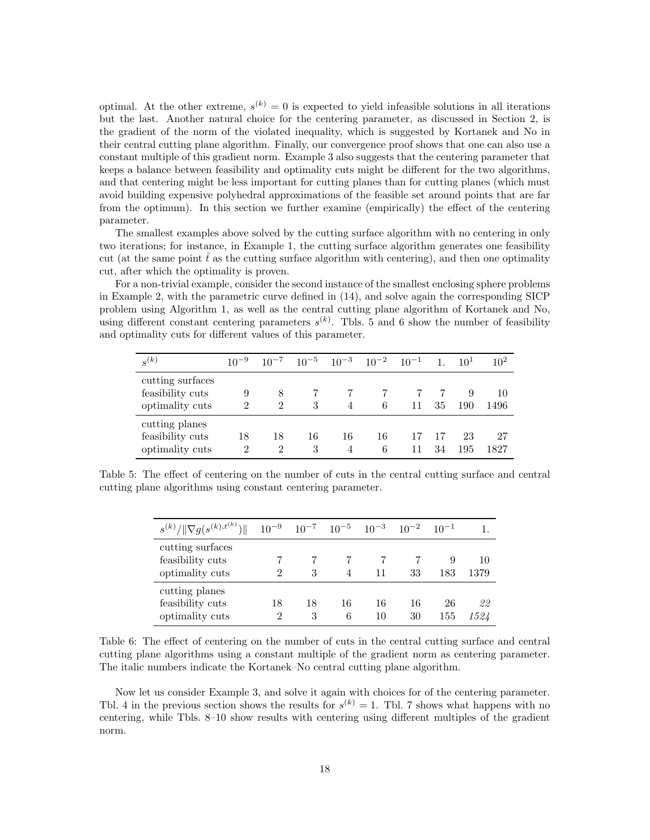optimal. At the other extreme,  $s^{(k)} = 0$  is expected to yield infeasible solutions in all iterations but the last. Another natural choice for the centering parameter, as discussed in Section 2, is the gradient of the norm of the violated inequality, which is suggested by Kortanek and No in their central cutting plane algorithm. Finally, our convergence proof shows that one can also use a constant multiple of this gradient norm. Example 3 also suggests that the centering parameter that keeps a balance between feasibility and optimality cuts might be different for the two algorithms, and that centering might be less important for cutting planes than for cutting planes (which must avoid building expensive polyhedral approximations of the feasible set around points that are far from the optimum). In this section we further examine (empirically) the effect of the centering parameter.

The smallest examples above solved by the cutting surface algorithm with no centering in only two iterations; for instance, in Example 1, the cutting surface algorithm generates one feasibility cut (at the same point  $\hat{t}$  as the cutting surface algorithm with centering), and then one optimality cut, after which the optimality is proven.

For a non-trivial example, consider the second instance of the smallest enclosing sphere problems in Example 2, with the parametric curve defined in (14), and solve again the corresponding SICP problem using Algorithm 1, as well as the central cutting plane algorithm of Kortanek and No, using different constant centering parameters  $s^{(k)}$ . Tbls. 5 and 6 show the number of feasibility and optimality cuts for different values of this parameter.

| $s^{(k)}$                                               | $10^{-9}$ |                                   | $10^{-7}$ $10^{-5}$ $10^{-3}$ $10^{-2}$ $10^{-1}$ |                      |         |    | $\overline{1}$ . | $10^{1}$  | $10^{2}$   |
|---------------------------------------------------------|-----------|-----------------------------------|---------------------------------------------------|----------------------|---------|----|------------------|-----------|------------|
| cutting surfaces<br>feasibility cuts<br>optimality cuts | 9<br>2    | 8<br>2                            | 3                                                 | 4                    | 6       | 11 | 35               | 9<br>190  | 10<br>1496 |
| cutting planes<br>feasibility cuts<br>optimality cuts   | 18<br>2   | 18<br>$\mathcal{D}_{\mathcal{L}}$ | 16<br>3                                           | 16<br>$\overline{4}$ | 16<br>6 | 11 | 34               | 23<br>195 | 27<br>1827 |

Table 5: The effect of centering on the number of cuts in the central cutting surface and central cutting plane algorithms using constant centering parameter.

| $s^{(k)}/\ \nabla g(s^{(k),t^{(k)}})\ $                 | $10^{-9}$ $10^{-7}$ $10^{-5}$ $10^{-3}$ $10^{-2}$ $10^{-1}$ |         |         |          |          |           |            |
|---------------------------------------------------------|-------------------------------------------------------------|---------|---------|----------|----------|-----------|------------|
| cutting surfaces<br>feasibility cuts<br>optimality cuts | 2                                                           | 3       |         |          | 33       | 9<br>183  | 10<br>1379 |
| cutting planes<br>feasibility cuts<br>optimality cuts   | 18<br>2                                                     | 18<br>3 | 16<br>6 | 16<br>10 | 16<br>30 | 26<br>155 | 22<br>1524 |

Table 6: The effect of centering on the number of cuts in the central cutting surface and central cutting plane algorithms using a constant multiple of the gradient norm as centering parameter. The italic numbers indicate the Kortanek–No central cutting plane algorithm.

Now let us consider Example 3, and solve it again with choices for of the centering parameter. Tbl. 4 in the previous section shows the results for  $s^{(k)} = 1$ . Tbl. 7 shows what happens with no centering, while Tbls. 8–10 show results with centering using different multiples of the gradient norm.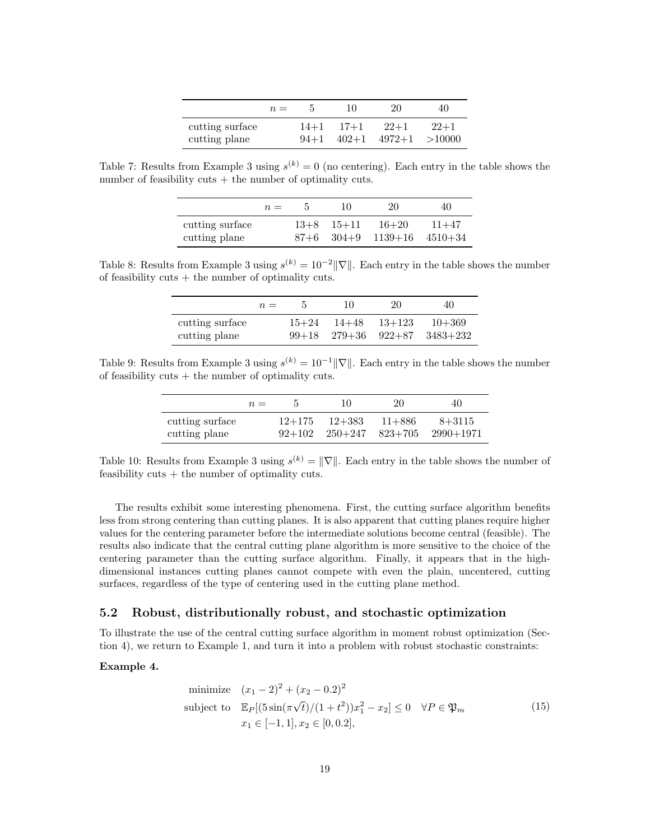|                 | $n =$ |        | 10        | 20               | 40     |
|-----------------|-------|--------|-----------|------------------|--------|
| cutting surface |       | $14+1$ | $17 + 1$  | $22+1$           | $22+1$ |
| cutting plane   |       | $94+1$ | $402 + 1$ | $4972+1 > 10000$ |        |

Table 7: Results from Example 3 using  $s^{(k)} = 0$  (no centering). Each entry in the table shows the number of feasibility cuts  $+$  the number of optimality cuts.

|                                  | $n =$ | $\mathbf{p}$ | 10                               | 20                               | 40        |
|----------------------------------|-------|--------------|----------------------------------|----------------------------------|-----------|
| cutting surface<br>cutting plane |       |              | $13+8$ $15+11$<br>$87+6$ $304+9$ | $16 + 20$<br>$1139+16$ $4510+34$ | $11 + 47$ |

Table 8: Results from Example 3 using  $s^{(k)} = 10^{-2} ||\nabla||$ . Each entry in the table shows the number of feasibility cuts  $+$  the number of optimality cuts.

|                                  | $n =$ | 5.        | 10                                  | 20       | 40                     |
|----------------------------------|-------|-----------|-------------------------------------|----------|------------------------|
| cutting surface<br>cutting plane |       | $15 + 24$ | -14+48<br>$99+18$ $279+36$ $922+87$ | $13+123$ | $10 + 369$<br>3483+232 |

Table 9: Results from Example 3 using  $s^{(k)} = 10^{-1} ||\nabla||$ . Each entry in the table shows the number of feasibility cuts  $+$  the number of optimality cuts.

|                                  | $n =$ |                      | 10                                | 20         | 40                        |
|----------------------------------|-------|----------------------|-----------------------------------|------------|---------------------------|
| cutting surface<br>cutting plane |       | $12+175$<br>$92+102$ | $12 + 383$<br>$250+247$ $823+705$ | $11 + 886$ | $8 + 3115$<br>$2990+1971$ |

Table 10: Results from Example 3 using  $s^{(k)} = \|\nabla\|$ . Each entry in the table shows the number of feasibility cuts  $+$  the number of optimality cuts.

The results exhibit some interesting phenomena. First, the cutting surface algorithm benefits less from strong centering than cutting planes. It is also apparent that cutting planes require higher values for the centering parameter before the intermediate solutions become central (feasible). The results also indicate that the central cutting plane algorithm is more sensitive to the choice of the centering parameter than the cutting surface algorithm. Finally, it appears that in the highdimensional instances cutting planes cannot compete with even the plain, uncentered, cutting surfaces, regardless of the type of centering used in the cutting plane method.

#### 5.2 Robust, distributionally robust, and stochastic optimization

To illustrate the use of the central cutting surface algorithm in moment robust optimization (Section 4), we return to Example 1, and turn it into a problem with robust stochastic constraints:

#### Example 4.

minimize 
$$
(x_1 - 2)^2 + (x_2 - 0.2)^2
$$
  
\nsubject to  $\mathbb{E}_P[(5\sin(\pi\sqrt{t})/(1+t^2))x_1^2 - x_2] \le 0 \quad \forall P \in \mathfrak{P}_m$   
\n $x_1 \in [-1, 1], x_2 \in [0, 0.2],$  (15)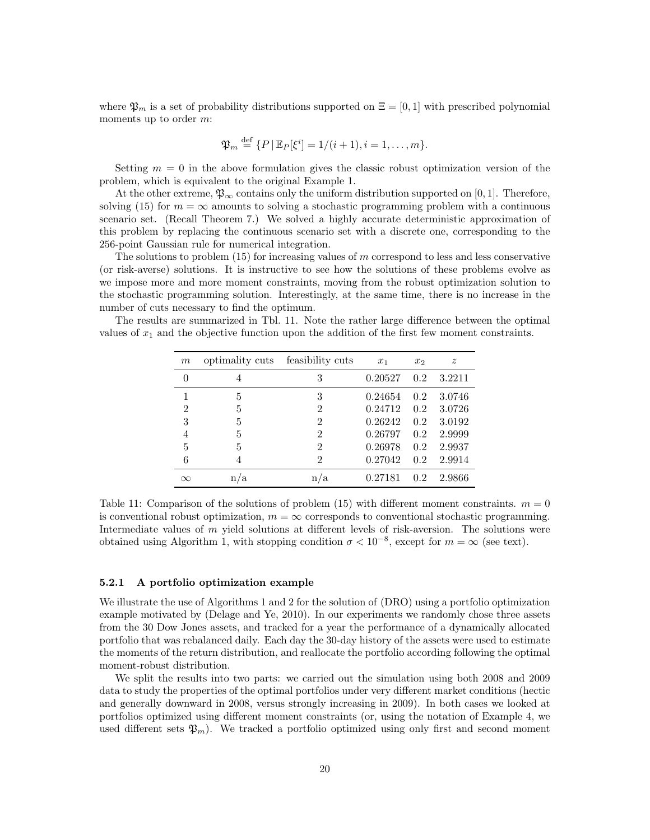where  $\mathfrak{P}_m$  is a set of probability distributions supported on  $\Xi = [0, 1]$  with prescribed polynomial moments up to order m:

$$
\mathfrak{P}_m \stackrel{\text{def}}{=} \{P \,|\, \mathbb{E}_P[\xi^i] = 1/(i+1), i = 1, \ldots, m\}.
$$

Setting  $m = 0$  in the above formulation gives the classic robust optimization version of the problem, which is equivalent to the original Example 1.

At the other extreme,  $\mathfrak{P}_{\infty}$  contains only the uniform distribution supported on [0, 1]. Therefore, solving (15) for  $m = \infty$  amounts to solving a stochastic programming problem with a continuous scenario set. (Recall Theorem 7.) We solved a highly accurate deterministic approximation of this problem by replacing the continuous scenario set with a discrete one, corresponding to the 256-point Gaussian rule for numerical integration.

The solutions to problem  $(15)$  for increasing values of m correspond to less and less conservative (or risk-averse) solutions. It is instructive to see how the solutions of these problems evolve as we impose more and more moment constraints, moving from the robust optimization solution to the stochastic programming solution. Interestingly, at the same time, there is no increase in the number of cuts necessary to find the optimum.

The results are summarized in Tbl. 11. Note the rather large difference between the optimal values of  $x_1$  and the objective function upon the addition of the first few moment constraints.

| $\boldsymbol{m}$ | optimality cuts | feasibility cuts | $x_1$   | x <sub>2</sub> | $\boldsymbol{z}$ |
|------------------|-----------------|------------------|---------|----------------|------------------|
| $\theta$         | 4               | 3                | 0.20527 | 0.2            | 3.2211           |
|                  | 5               | 3                | 0.24654 | 0.2            | 3.0746           |
| 2                | 5               | $\overline{2}$   | 0.24712 | 0.2            | 3.0726           |
| 3                | 5               | $\overline{2}$   | 0.26242 | 0.2            | 3.0192           |
| $\overline{4}$   | 5               | $\overline{2}$   | 0.26797 | 0.2            | 2.9999           |
| 5                | 5               | $\overline{2}$   | 0.26978 | 0.2            | 2.9937           |
| 6                | 4               | $\mathfrak{D}$   | 0.27042 | 0.2            | 2.9914           |
| $\infty$         | n/a             | n/a              | 0.27181 | 0.2            | 2.9866           |

Table 11: Comparison of the solutions of problem (15) with different moment constraints.  $m = 0$ is conventional robust optimization,  $m = \infty$  corresponds to conventional stochastic programming. Intermediate values of m yield solutions at different levels of risk-aversion. The solutions were obtained using Algorithm 1, with stopping condition  $\sigma < 10^{-8}$ , except for  $m = \infty$  (see text).

#### 5.2.1 A portfolio optimization example

We illustrate the use of Algorithms 1 and 2 for the solution of (DRO) using a portfolio optimization example motivated by (Delage and Ye, 2010). In our experiments we randomly chose three assets from the 30 Dow Jones assets, and tracked for a year the performance of a dynamically allocated portfolio that was rebalanced daily. Each day the 30-day history of the assets were used to estimate the moments of the return distribution, and reallocate the portfolio according following the optimal moment-robust distribution.

We split the results into two parts: we carried out the simulation using both 2008 and 2009 data to study the properties of the optimal portfolios under very different market conditions (hectic and generally downward in 2008, versus strongly increasing in 2009). In both cases we looked at portfolios optimized using different moment constraints (or, using the notation of Example 4, we used different sets  $\mathfrak{P}_m$ ). We tracked a portfolio optimized using only first and second moment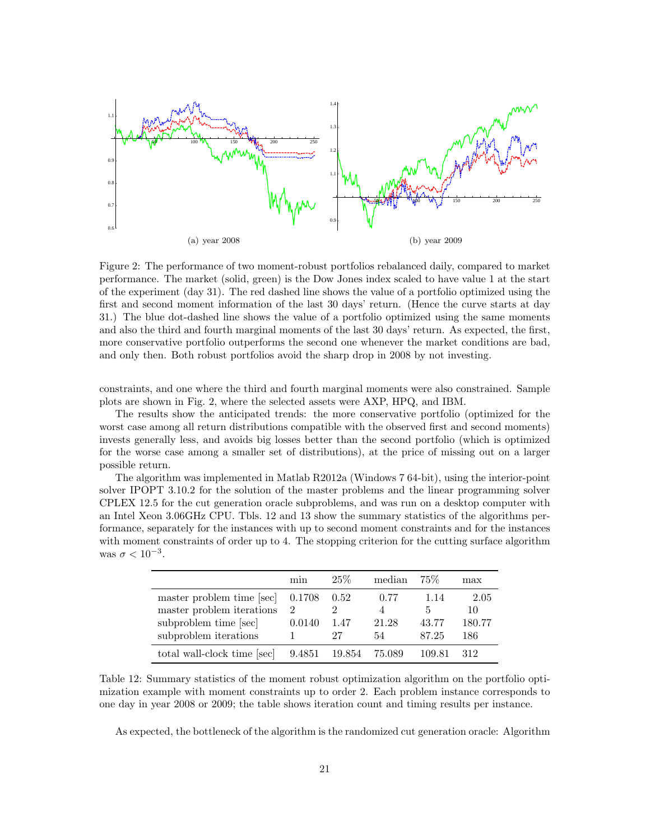

Figure 2: The performance of two moment-robust portfolios rebalanced daily, compared to market performance. The market (solid, green) is the Dow Jones index scaled to have value 1 at the start of the experiment (day 31). The red dashed line shows the value of a portfolio optimized using the first and second moment information of the last 30 days' return. (Hence the curve starts at day 31.) The blue dot-dashed line shows the value of a portfolio optimized using the same moments and also the third and fourth marginal moments of the last 30 days' return. As expected, the first, more conservative portfolio outperforms the second one whenever the market conditions are bad, and only then. Both robust portfolios avoid the sharp drop in 2008 by not investing.

constraints, and one where the third and fourth marginal moments were also constrained. Sample plots are shown in Fig. 2, where the selected assets were AXP, HPQ, and IBM.

The results show the anticipated trends: the more conservative portfolio (optimized for the worst case among all return distributions compatible with the observed first and second moments) invests generally less, and avoids big losses better than the second portfolio (which is optimized for the worse case among a smaller set of distributions), at the price of missing out on a larger possible return.

The algorithm was implemented in Matlab R2012a (Windows 7 64-bit), using the interior-point solver IPOPT 3.10.2 for the solution of the master problems and the linear programming solver CPLEX 12.5 for the cut generation oracle subproblems, and was run on a desktop computer with an Intel Xeon 3.06GHz CPU. Tbls. 12 and 13 show the summary statistics of the algorithms performance, separately for the instances with up to second moment constraints and for the instances with moment constraints of order up to 4. The stopping criterion for the cutting surface algorithm was  $\sigma < 10^{-3}$ .

|                             | mın    | 25%    | median | $75\%$ | max    |
|-----------------------------|--------|--------|--------|--------|--------|
| master problem time [sec]   | 0.1708 | 0.52   | 0.77   | 1.14   | 2.05   |
| master problem iterations   | 2      |        |        | 5      | 10     |
| subproblem time [sec]       | 0.0140 | 1.47   | 21.28  | 43.77  | 180.77 |
| subproblem iterations       |        | 27     | 54     | 87.25  | 186    |
| total wall-clock time [sec] | 9.4851 | 19.854 | 75.089 | 109.81 | 312    |

Table 12: Summary statistics of the moment robust optimization algorithm on the portfolio optimization example with moment constraints up to order 2. Each problem instance corresponds to one day in year 2008 or 2009; the table shows iteration count and timing results per instance.

As expected, the bottleneck of the algorithm is the randomized cut generation oracle: Algorithm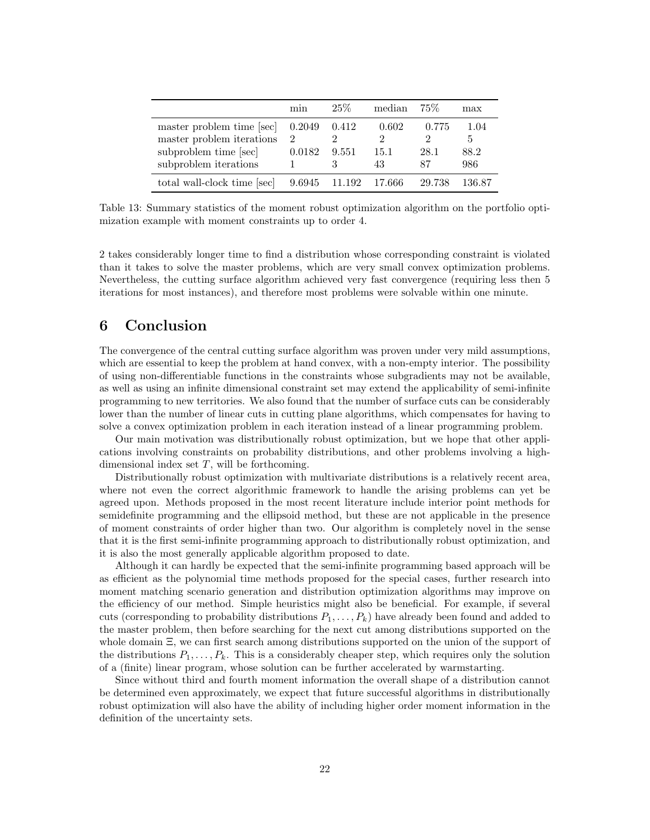|                                                        | m <sub>1</sub> n        | $25\%$ | median     | 75%        | $\max$      |
|--------------------------------------------------------|-------------------------|--------|------------|------------|-------------|
| master problem time [sec]<br>master problem iterations | 0.2049<br>$\mathcal{D}$ | 0.412  | 0.602      | 0.775      | 1.04<br>5   |
| subproblem time [sec]<br>subproblem iterations         | 0.0182                  | 9.551  | 15.1<br>43 | 28.1<br>87 | 88.2<br>986 |
| total wall-clock time [sec]                            | 9.6945                  | 11.192 | - 17.666   | 29.738     | 136.87      |

Table 13: Summary statistics of the moment robust optimization algorithm on the portfolio optimization example with moment constraints up to order 4.

2 takes considerably longer time to find a distribution whose corresponding constraint is violated than it takes to solve the master problems, which are very small convex optimization problems. Nevertheless, the cutting surface algorithm achieved very fast convergence (requiring less then 5 iterations for most instances), and therefore most problems were solvable within one minute.

### 6 Conclusion

The convergence of the central cutting surface algorithm was proven under very mild assumptions, which are essential to keep the problem at hand convex, with a non-empty interior. The possibility of using non-differentiable functions in the constraints whose subgradients may not be available, as well as using an infinite dimensional constraint set may extend the applicability of semi-infinite programming to new territories. We also found that the number of surface cuts can be considerably lower than the number of linear cuts in cutting plane algorithms, which compensates for having to solve a convex optimization problem in each iteration instead of a linear programming problem.

Our main motivation was distributionally robust optimization, but we hope that other applications involving constraints on probability distributions, and other problems involving a highdimensional index set  $T$ , will be forthcoming.

Distributionally robust optimization with multivariate distributions is a relatively recent area, where not even the correct algorithmic framework to handle the arising problems can yet be agreed upon. Methods proposed in the most recent literature include interior point methods for semidefinite programming and the ellipsoid method, but these are not applicable in the presence of moment constraints of order higher than two. Our algorithm is completely novel in the sense that it is the first semi-infinite programming approach to distributionally robust optimization, and it is also the most generally applicable algorithm proposed to date.

Although it can hardly be expected that the semi-infinite programming based approach will be as efficient as the polynomial time methods proposed for the special cases, further research into moment matching scenario generation and distribution optimization algorithms may improve on the efficiency of our method. Simple heuristics might also be beneficial. For example, if several cuts (corresponding to probability distributions  $P_1, \ldots, P_k$ ) have already been found and added to the master problem, then before searching for the next cut among distributions supported on the whole domain Ξ, we can first search among distributions supported on the union of the support of the distributions  $P_1, \ldots, P_k$ . This is a considerably cheaper step, which requires only the solution of a (finite) linear program, whose solution can be further accelerated by warmstarting.

Since without third and fourth moment information the overall shape of a distribution cannot be determined even approximately, we expect that future successful algorithms in distributionally robust optimization will also have the ability of including higher order moment information in the definition of the uncertainty sets.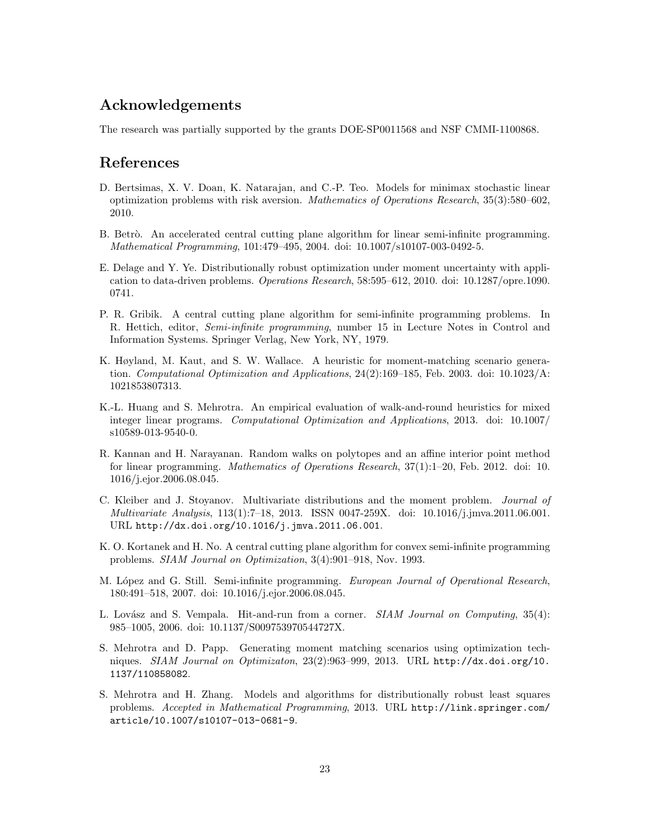## Acknowledgements

The research was partially supported by the grants DOE-SP0011568 and NSF CMMI-1100868.

### References

- D. Bertsimas, X. V. Doan, K. Natarajan, and C.-P. Teo. Models for minimax stochastic linear optimization problems with risk aversion. Mathematics of Operations Research, 35(3):580–602, 2010.
- B. Betrò. An accelerated central cutting plane algorithm for linear semi-infinite programming. Mathematical Programming, 101:479–495, 2004. doi: 10.1007/s10107-003-0492-5.
- E. Delage and Y. Ye. Distributionally robust optimization under moment uncertainty with application to data-driven problems. Operations Research, 58:595–612, 2010. doi: 10.1287/opre.1090. 0741.
- P. R. Gribik. A central cutting plane algorithm for semi-infinite programming problems. In R. Hettich, editor, Semi-infinite programming, number 15 in Lecture Notes in Control and Information Systems. Springer Verlag, New York, NY, 1979.
- K. Høyland, M. Kaut, and S. W. Wallace. A heuristic for moment-matching scenario generation. Computational Optimization and Applications, 24(2):169–185, Feb. 2003. doi: 10.1023/A: 1021853807313.
- K.-L. Huang and S. Mehrotra. An empirical evaluation of walk-and-round heuristics for mixed integer linear programs. Computational Optimization and Applications, 2013. doi: 10.1007/ s10589-013-9540-0.
- R. Kannan and H. Narayanan. Random walks on polytopes and an affine interior point method for linear programming. Mathematics of Operations Research, 37(1):1–20, Feb. 2012. doi: 10. 1016/j.ejor.2006.08.045.
- C. Kleiber and J. Stoyanov. Multivariate distributions and the moment problem. Journal of Multivariate Analysis, 113(1):7–18, 2013. ISSN 0047-259X. doi: 10.1016/j.jmva.2011.06.001. URL http://dx.doi.org/10.1016/j.jmva.2011.06.001.
- K. O. Kortanek and H. No. A central cutting plane algorithm for convex semi-infinite programming problems. SIAM Journal on Optimization, 3(4):901–918, Nov. 1993.
- M. López and G. Still. Semi-infinite programming. European Journal of Operational Research, 180:491–518, 2007. doi: 10.1016/j.ejor.2006.08.045.
- L. Lovász and S. Vempala. Hit-and-run from a corner. SIAM Journal on Computing, 35(4): 985–1005, 2006. doi: 10.1137/S009753970544727X.
- S. Mehrotra and D. Papp. Generating moment matching scenarios using optimization techniques. SIAM Journal on Optimizaton, 23(2):963–999, 2013. URL http://dx.doi.org/10. 1137/110858082.
- S. Mehrotra and H. Zhang. Models and algorithms for distributionally robust least squares problems. Accepted in Mathematical Programming, 2013. URL http://link.springer.com/ article/10.1007/s10107-013-0681-9.